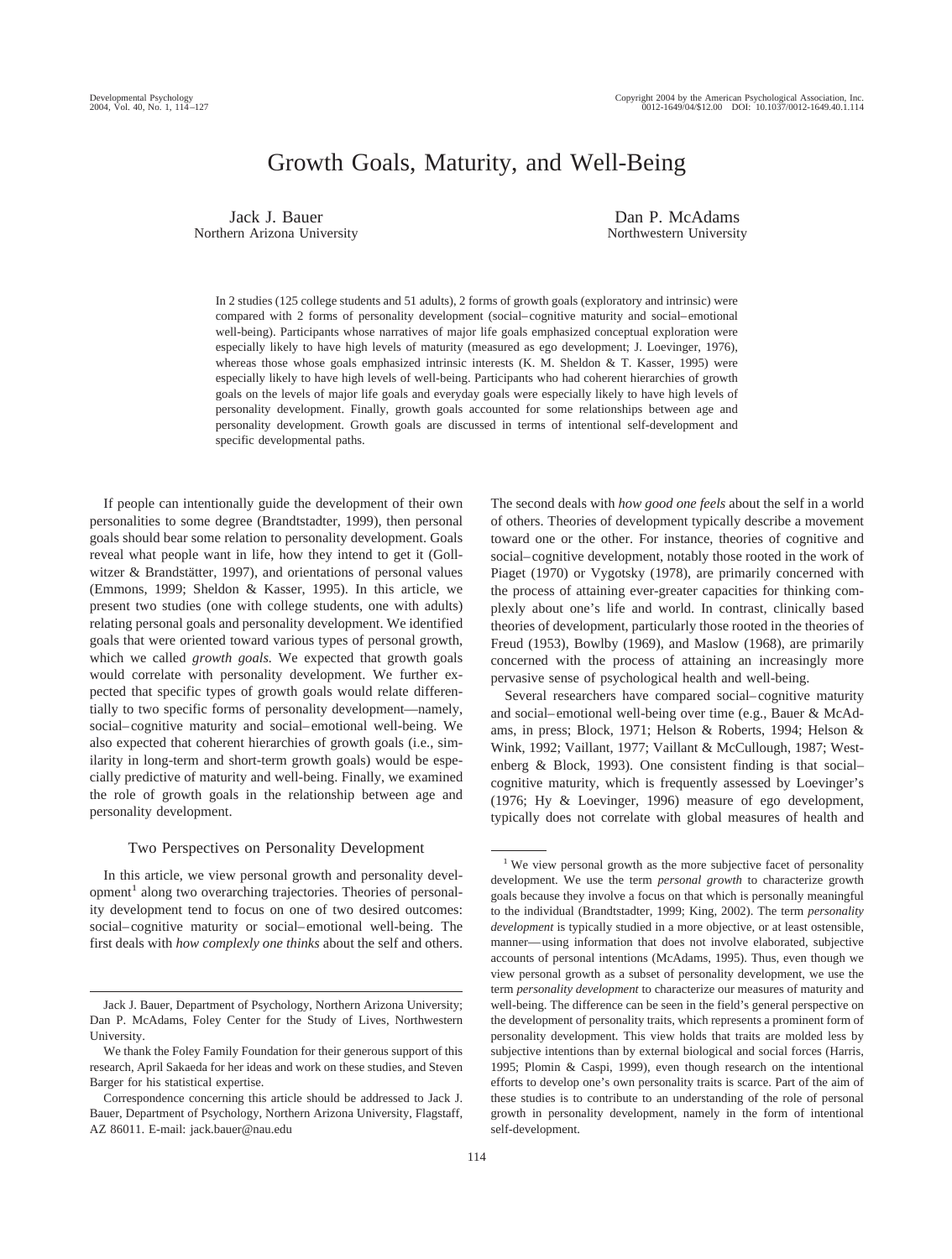# Growth Goals, Maturity, and Well-Being

Jack J. Bauer Northern Arizona University

Dan P. McAdams Northwestern University

In 2 studies (125 college students and 51 adults), 2 forms of growth goals (exploratory and intrinsic) were compared with 2 forms of personality development (social–cognitive maturity and social–emotional well-being). Participants whose narratives of major life goals emphasized conceptual exploration were especially likely to have high levels of maturity (measured as ego development; J. Loevinger, 1976), whereas those whose goals emphasized intrinsic interests (K. M. Sheldon & T. Kasser, 1995) were especially likely to have high levels of well-being. Participants who had coherent hierarchies of growth goals on the levels of major life goals and everyday goals were especially likely to have high levels of personality development. Finally, growth goals accounted for some relationships between age and personality development. Growth goals are discussed in terms of intentional self-development and specific developmental paths.

If people can intentionally guide the development of their own personalities to some degree (Brandtstadter, 1999), then personal goals should bear some relation to personality development. Goals reveal what people want in life, how they intend to get it (Gollwitzer  $&$  Brandstätter, 1997), and orientations of personal values (Emmons, 1999; Sheldon & Kasser, 1995). In this article, we present two studies (one with college students, one with adults) relating personal goals and personality development. We identified goals that were oriented toward various types of personal growth, which we called *growth goals.* We expected that growth goals would correlate with personality development. We further expected that specific types of growth goals would relate differentially to two specific forms of personality development—namely, social–cognitive maturity and social–emotional well-being. We also expected that coherent hierarchies of growth goals (i.e., similarity in long-term and short-term growth goals) would be especially predictive of maturity and well-being. Finally, we examined the role of growth goals in the relationship between age and personality development.

#### Two Perspectives on Personality Development

In this article, we view personal growth and personality development<sup>1</sup> along two overarching trajectories. Theories of personality development tend to focus on one of two desired outcomes: social–cognitive maturity or social–emotional well-being. The first deals with *how complexly one thinks* about the self and others.

The second deals with *how good one feels* about the self in a world of others. Theories of development typically describe a movement toward one or the other. For instance, theories of cognitive and social–cognitive development, notably those rooted in the work of Piaget (1970) or Vygotsky (1978), are primarily concerned with the process of attaining ever-greater capacities for thinking complexly about one's life and world. In contrast, clinically based theories of development, particularly those rooted in the theories of Freud (1953), Bowlby (1969), and Maslow (1968), are primarily concerned with the process of attaining an increasingly more pervasive sense of psychological health and well-being.

Several researchers have compared social–cognitive maturity and social–emotional well-being over time (e.g., Bauer & McAdams, in press; Block, 1971; Helson & Roberts, 1994; Helson & Wink, 1992; Vaillant, 1977; Vaillant & McCullough, 1987; Westenberg & Block, 1993). One consistent finding is that social– cognitive maturity, which is frequently assessed by Loevinger's (1976; Hy & Loevinger, 1996) measure of ego development, typically does not correlate with global measures of health and

Jack J. Bauer, Department of Psychology, Northern Arizona University; Dan P. McAdams, Foley Center for the Study of Lives, Northwestern University.

We thank the Foley Family Foundation for their generous support of this research, April Sakaeda for her ideas and work on these studies, and Steven Barger for his statistical expertise.

Correspondence concerning this article should be addressed to Jack J. Bauer, Department of Psychology, Northern Arizona University, Flagstaff, AZ 86011. E-mail: jack.bauer@nau.edu

 $1$  We view personal growth as the more subjective facet of personality development. We use the term *personal growth* to characterize growth goals because they involve a focus on that which is personally meaningful to the individual (Brandtstadter, 1999; King, 2002). The term *personality development* is typically studied in a more objective, or at least ostensible, manner—using information that does not involve elaborated, subjective accounts of personal intentions (McAdams, 1995). Thus, even though we view personal growth as a subset of personality development, we use the term *personality development* to characterize our measures of maturity and well-being. The difference can be seen in the field's general perspective on the development of personality traits, which represents a prominent form of personality development. This view holds that traits are molded less by subjective intentions than by external biological and social forces (Harris, 1995; Plomin & Caspi, 1999), even though research on the intentional efforts to develop one's own personality traits is scarce. Part of the aim of these studies is to contribute to an understanding of the role of personal growth in personality development, namely in the form of intentional self-development.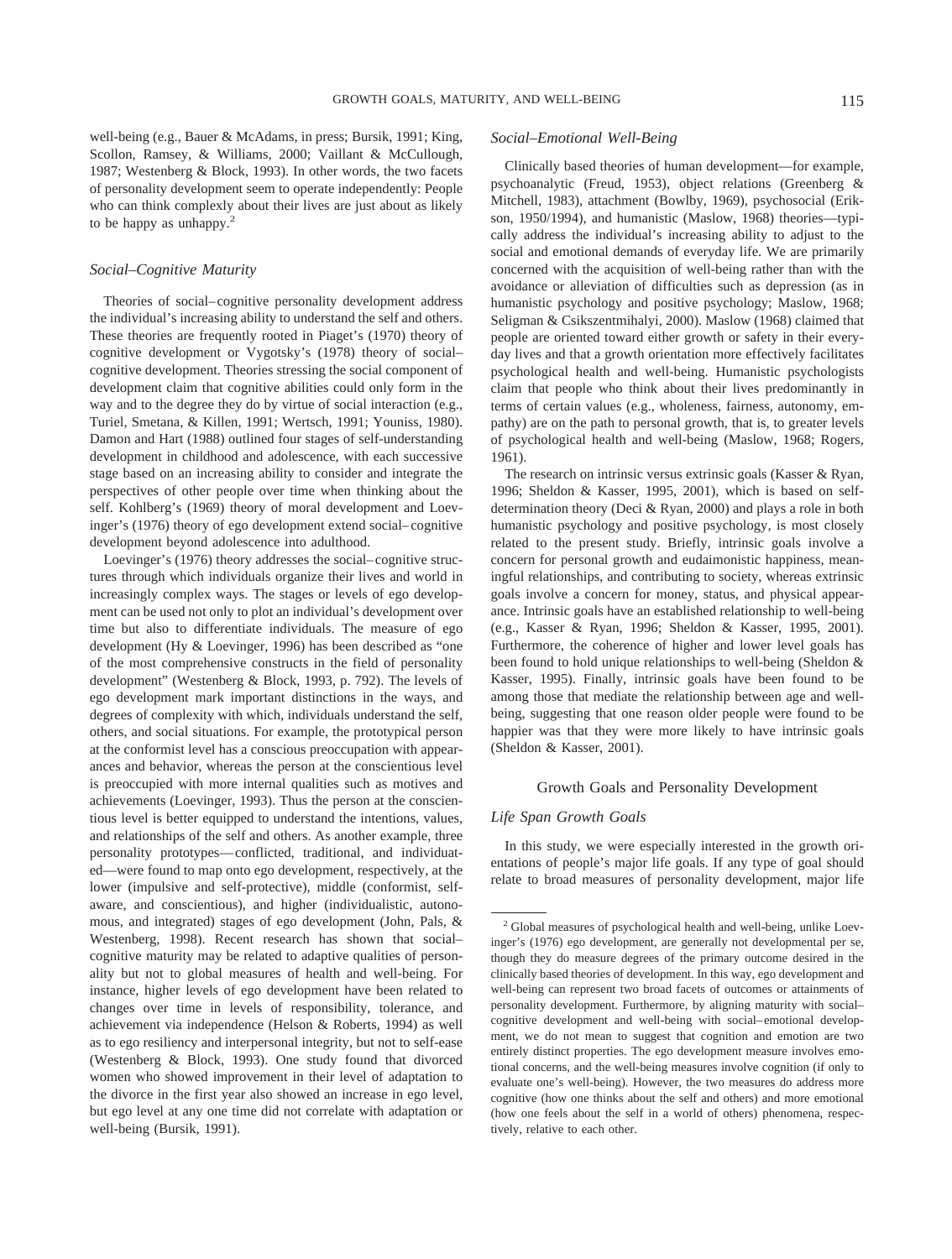well-being (e.g., Bauer & McAdams, in press; Bursik, 1991; King, Scollon, Ramsey, & Williams, 2000; Vaillant & McCullough, 1987; Westenberg & Block, 1993). In other words, the two facets of personality development seem to operate independently: People who can think complexly about their lives are just about as likely to be happy as unhappy.2

# *Social–Cognitive Maturity*

Theories of social–cognitive personality development address the individual's increasing ability to understand the self and others. These theories are frequently rooted in Piaget's (1970) theory of cognitive development or Vygotsky's (1978) theory of social– cognitive development. Theories stressing the social component of development claim that cognitive abilities could only form in the way and to the degree they do by virtue of social interaction (e.g., Turiel, Smetana, & Killen, 1991; Wertsch, 1991; Youniss, 1980). Damon and Hart (1988) outlined four stages of self-understanding development in childhood and adolescence, with each successive stage based on an increasing ability to consider and integrate the perspectives of other people over time when thinking about the self. Kohlberg's (1969) theory of moral development and Loevinger's (1976) theory of ego development extend social–cognitive development beyond adolescence into adulthood.

Loevinger's (1976) theory addresses the social–cognitive structures through which individuals organize their lives and world in increasingly complex ways. The stages or levels of ego development can be used not only to plot an individual's development over time but also to differentiate individuals. The measure of ego development (Hy & Loevinger, 1996) has been described as "one of the most comprehensive constructs in the field of personality development" (Westenberg & Block, 1993, p. 792). The levels of ego development mark important distinctions in the ways, and degrees of complexity with which, individuals understand the self, others, and social situations. For example, the prototypical person at the conformist level has a conscious preoccupation with appearances and behavior, whereas the person at the conscientious level is preoccupied with more internal qualities such as motives and achievements (Loevinger, 1993). Thus the person at the conscientious level is better equipped to understand the intentions, values, and relationships of the self and others. As another example, three personality prototypes—conflicted, traditional, and individuated—were found to map onto ego development, respectively, at the lower (impulsive and self-protective), middle (conformist, selfaware, and conscientious), and higher (individualistic, autonomous, and integrated) stages of ego development (John, Pals, & Westenberg, 1998). Recent research has shown that social– cognitive maturity may be related to adaptive qualities of personality but not to global measures of health and well-being. For instance, higher levels of ego development have been related to changes over time in levels of responsibility, tolerance, and achievement via independence (Helson & Roberts, 1994) as well as to ego resiliency and interpersonal integrity, but not to self-ease (Westenberg & Block, 1993). One study found that divorced women who showed improvement in their level of adaptation to the divorce in the first year also showed an increase in ego level, but ego level at any one time did not correlate with adaptation or well-being (Bursik, 1991).

# *Social–Emotional Well-Being*

Clinically based theories of human development—for example, psychoanalytic (Freud, 1953), object relations (Greenberg & Mitchell, 1983), attachment (Bowlby, 1969), psychosocial (Erikson, 1950/1994), and humanistic (Maslow, 1968) theories—typically address the individual's increasing ability to adjust to the social and emotional demands of everyday life. We are primarily concerned with the acquisition of well-being rather than with the avoidance or alleviation of difficulties such as depression (as in humanistic psychology and positive psychology; Maslow, 1968; Seligman & Csikszentmihalyi, 2000). Maslow (1968) claimed that people are oriented toward either growth or safety in their everyday lives and that a growth orientation more effectively facilitates psychological health and well-being. Humanistic psychologists claim that people who think about their lives predominantly in terms of certain values (e.g., wholeness, fairness, autonomy, empathy) are on the path to personal growth, that is, to greater levels of psychological health and well-being (Maslow, 1968; Rogers, 1961).

The research on intrinsic versus extrinsic goals (Kasser & Ryan, 1996; Sheldon & Kasser, 1995, 2001), which is based on selfdetermination theory (Deci & Ryan, 2000) and plays a role in both humanistic psychology and positive psychology, is most closely related to the present study. Briefly, intrinsic goals involve a concern for personal growth and eudaimonistic happiness, meaningful relationships, and contributing to society, whereas extrinsic goals involve a concern for money, status, and physical appearance. Intrinsic goals have an established relationship to well-being (e.g., Kasser & Ryan, 1996; Sheldon & Kasser, 1995, 2001). Furthermore, the coherence of higher and lower level goals has been found to hold unique relationships to well-being (Sheldon & Kasser, 1995). Finally, intrinsic goals have been found to be among those that mediate the relationship between age and wellbeing, suggesting that one reason older people were found to be happier was that they were more likely to have intrinsic goals (Sheldon & Kasser, 2001).

#### Growth Goals and Personality Development

# *Life Span Growth Goals*

In this study, we were especially interested in the growth orientations of people's major life goals. If any type of goal should relate to broad measures of personality development, major life

<sup>2</sup> Global measures of psychological health and well-being, unlike Loevinger's (1976) ego development, are generally not developmental per se, though they do measure degrees of the primary outcome desired in the clinically based theories of development. In this way, ego development and well-being can represent two broad facets of outcomes or attainments of personality development. Furthermore, by aligning maturity with social– cognitive development and well-being with social–emotional development, we do not mean to suggest that cognition and emotion are two entirely distinct properties. The ego development measure involves emotional concerns, and the well-being measures involve cognition (if only to evaluate one's well-being). However, the two measures do address more cognitive (how one thinks about the self and others) and more emotional (how one feels about the self in a world of others) phenomena, respectively, relative to each other.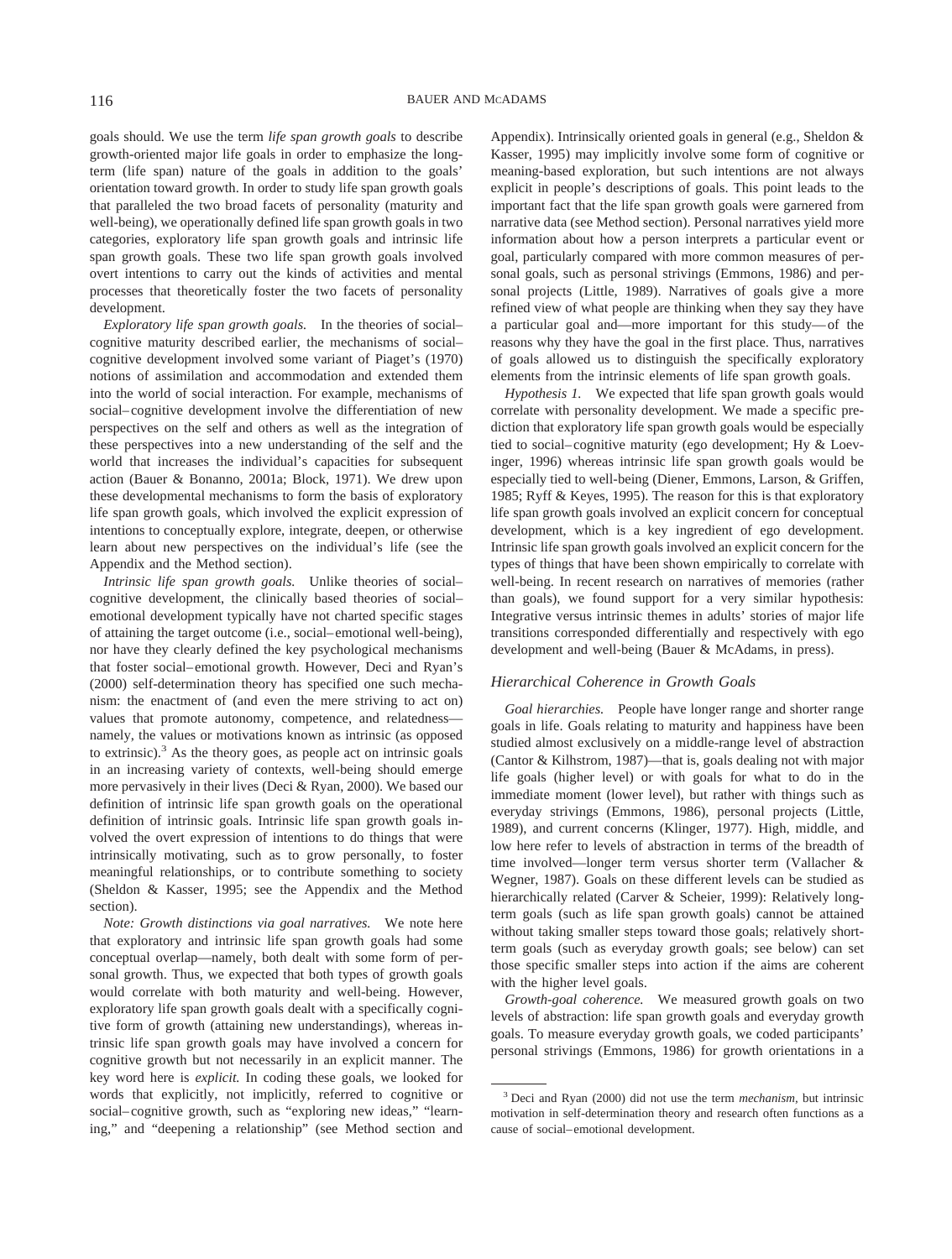goals should. We use the term *life span growth goals* to describe growth-oriented major life goals in order to emphasize the longterm (life span) nature of the goals in addition to the goals' orientation toward growth. In order to study life span growth goals that paralleled the two broad facets of personality (maturity and well-being), we operationally defined life span growth goals in two categories, exploratory life span growth goals and intrinsic life span growth goals. These two life span growth goals involved overt intentions to carry out the kinds of activities and mental processes that theoretically foster the two facets of personality development.

*Exploratory life span growth goals.* In the theories of social– cognitive maturity described earlier, the mechanisms of social– cognitive development involved some variant of Piaget's (1970) notions of assimilation and accommodation and extended them into the world of social interaction. For example, mechanisms of social–cognitive development involve the differentiation of new perspectives on the self and others as well as the integration of these perspectives into a new understanding of the self and the world that increases the individual's capacities for subsequent action (Bauer & Bonanno, 2001a; Block, 1971). We drew upon these developmental mechanisms to form the basis of exploratory life span growth goals, which involved the explicit expression of intentions to conceptually explore, integrate, deepen, or otherwise learn about new perspectives on the individual's life (see the Appendix and the Method section).

*Intrinsic life span growth goals.* Unlike theories of social– cognitive development, the clinically based theories of social– emotional development typically have not charted specific stages of attaining the target outcome (i.e., social–emotional well-being), nor have they clearly defined the key psychological mechanisms that foster social–emotional growth. However, Deci and Ryan's (2000) self-determination theory has specified one such mechanism: the enactment of (and even the mere striving to act on) values that promote autonomy, competence, and relatedness namely, the values or motivations known as intrinsic (as opposed to extrinsic). $3$  As the theory goes, as people act on intrinsic goals in an increasing variety of contexts, well-being should emerge more pervasively in their lives (Deci & Ryan, 2000). We based our definition of intrinsic life span growth goals on the operational definition of intrinsic goals. Intrinsic life span growth goals involved the overt expression of intentions to do things that were intrinsically motivating, such as to grow personally, to foster meaningful relationships, or to contribute something to society (Sheldon & Kasser, 1995; see the Appendix and the Method section).

*Note: Growth distinctions via goal narratives.* We note here that exploratory and intrinsic life span growth goals had some conceptual overlap—namely, both dealt with some form of personal growth. Thus, we expected that both types of growth goals would correlate with both maturity and well-being. However, exploratory life span growth goals dealt with a specifically cognitive form of growth (attaining new understandings), whereas intrinsic life span growth goals may have involved a concern for cognitive growth but not necessarily in an explicit manner. The key word here is *explicit.* In coding these goals, we looked for words that explicitly, not implicitly, referred to cognitive or social–cognitive growth, such as "exploring new ideas," "learning," and "deepening a relationship" (see Method section and

Appendix). Intrinsically oriented goals in general (e.g., Sheldon & Kasser, 1995) may implicitly involve some form of cognitive or meaning-based exploration, but such intentions are not always explicit in people's descriptions of goals. This point leads to the important fact that the life span growth goals were garnered from narrative data (see Method section). Personal narratives yield more information about how a person interprets a particular event or goal, particularly compared with more common measures of personal goals, such as personal strivings (Emmons, 1986) and personal projects (Little, 1989). Narratives of goals give a more refined view of what people are thinking when they say they have a particular goal and—more important for this study—of the reasons why they have the goal in the first place. Thus, narratives of goals allowed us to distinguish the specifically exploratory elements from the intrinsic elements of life span growth goals.

*Hypothesis 1.* We expected that life span growth goals would correlate with personality development. We made a specific prediction that exploratory life span growth goals would be especially tied to social–cognitive maturity (ego development; Hy & Loevinger, 1996) whereas intrinsic life span growth goals would be especially tied to well-being (Diener, Emmons, Larson, & Griffen, 1985; Ryff & Keyes, 1995). The reason for this is that exploratory life span growth goals involved an explicit concern for conceptual development, which is a key ingredient of ego development. Intrinsic life span growth goals involved an explicit concern for the types of things that have been shown empirically to correlate with well-being. In recent research on narratives of memories (rather than goals), we found support for a very similar hypothesis: Integrative versus intrinsic themes in adults' stories of major life transitions corresponded differentially and respectively with ego development and well-being (Bauer & McAdams, in press).

# *Hierarchical Coherence in Growth Goals*

*Goal hierarchies.* People have longer range and shorter range goals in life. Goals relating to maturity and happiness have been studied almost exclusively on a middle-range level of abstraction (Cantor & Kilhstrom, 1987)—that is, goals dealing not with major life goals (higher level) or with goals for what to do in the immediate moment (lower level), but rather with things such as everyday strivings (Emmons, 1986), personal projects (Little, 1989), and current concerns (Klinger, 1977). High, middle, and low here refer to levels of abstraction in terms of the breadth of time involved—longer term versus shorter term (Vallacher & Wegner, 1987). Goals on these different levels can be studied as hierarchically related (Carver & Scheier, 1999): Relatively longterm goals (such as life span growth goals) cannot be attained without taking smaller steps toward those goals; relatively shortterm goals (such as everyday growth goals; see below) can set those specific smaller steps into action if the aims are coherent with the higher level goals.

*Growth-goal coherence.* We measured growth goals on two levels of abstraction: life span growth goals and everyday growth goals. To measure everyday growth goals, we coded participants' personal strivings (Emmons, 1986) for growth orientations in a

<sup>3</sup> Deci and Ryan (2000) did not use the term *mechanism,* but intrinsic motivation in self-determination theory and research often functions as a cause of social–emotional development.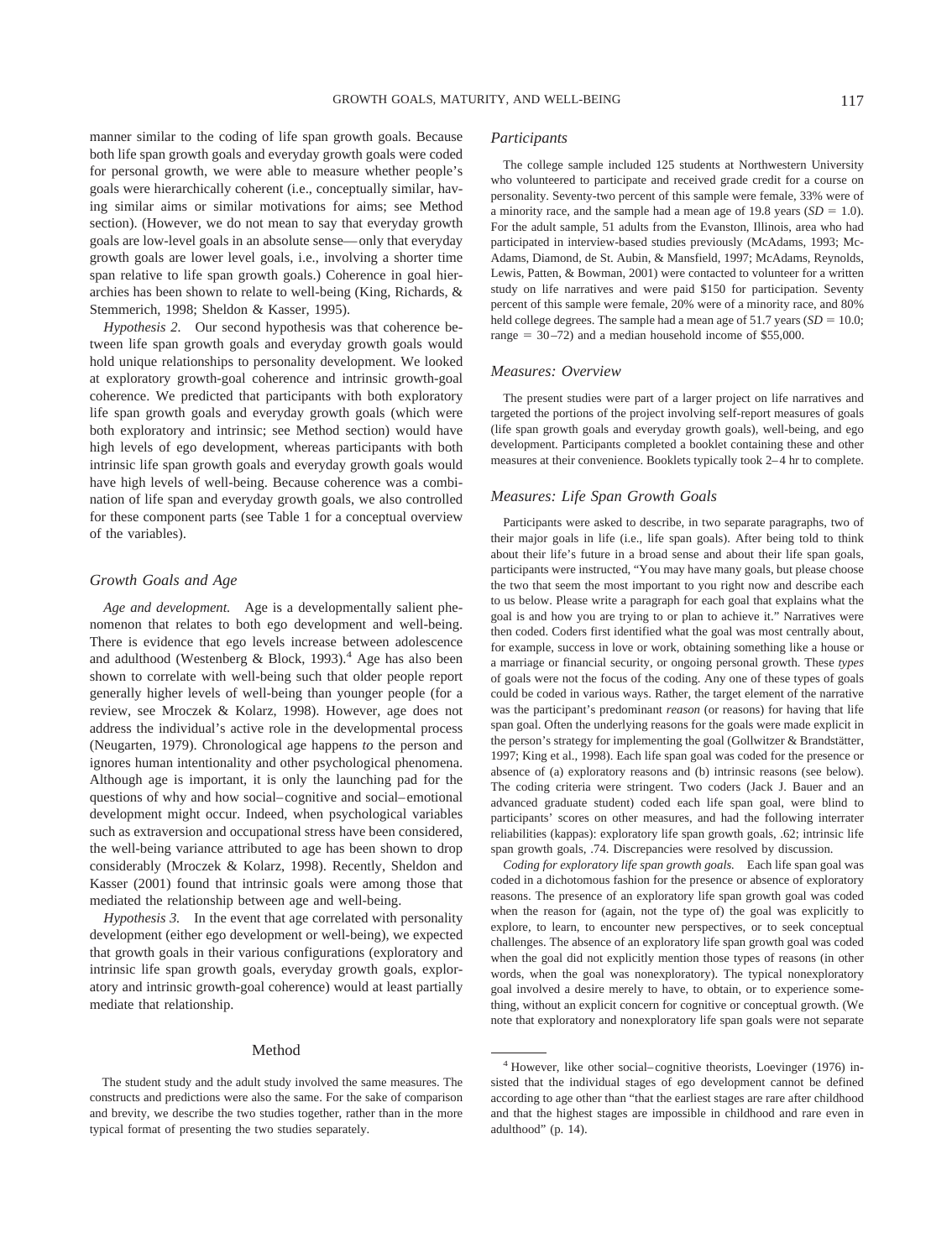manner similar to the coding of life span growth goals. Because both life span growth goals and everyday growth goals were coded for personal growth, we were able to measure whether people's goals were hierarchically coherent (i.e., conceptually similar, having similar aims or similar motivations for aims; see Method section). (However, we do not mean to say that everyday growth goals are low-level goals in an absolute sense—only that everyday growth goals are lower level goals, i.e., involving a shorter time span relative to life span growth goals.) Coherence in goal hierarchies has been shown to relate to well-being (King, Richards, & Stemmerich, 1998; Sheldon & Kasser, 1995).

*Hypothesis 2.* Our second hypothesis was that coherence between life span growth goals and everyday growth goals would hold unique relationships to personality development. We looked at exploratory growth-goal coherence and intrinsic growth-goal coherence. We predicted that participants with both exploratory life span growth goals and everyday growth goals (which were both exploratory and intrinsic; see Method section) would have high levels of ego development, whereas participants with both intrinsic life span growth goals and everyday growth goals would have high levels of well-being. Because coherence was a combination of life span and everyday growth goals, we also controlled for these component parts (see Table 1 for a conceptual overview of the variables).

# *Growth Goals and Age*

*Age and development.* Age is a developmentally salient phenomenon that relates to both ego development and well-being. There is evidence that ego levels increase between adolescence and adulthood (Westenberg & Block, 1993).<sup>4</sup> Age has also been shown to correlate with well-being such that older people report generally higher levels of well-being than younger people (for a review, see Mroczek & Kolarz, 1998). However, age does not address the individual's active role in the developmental process (Neugarten, 1979). Chronological age happens *to* the person and ignores human intentionality and other psychological phenomena. Although age is important, it is only the launching pad for the questions of why and how social–cognitive and social–emotional development might occur. Indeed, when psychological variables such as extraversion and occupational stress have been considered, the well-being variance attributed to age has been shown to drop considerably (Mroczek & Kolarz, 1998). Recently, Sheldon and Kasser (2001) found that intrinsic goals were among those that mediated the relationship between age and well-being.

*Hypothesis 3.* In the event that age correlated with personality development (either ego development or well-being), we expected that growth goals in their various configurations (exploratory and intrinsic life span growth goals, everyday growth goals, exploratory and intrinsic growth-goal coherence) would at least partially mediate that relationship.

#### Method

The student study and the adult study involved the same measures. The constructs and predictions were also the same. For the sake of comparison and brevity, we describe the two studies together, rather than in the more typical format of presenting the two studies separately.

#### *Participants*

The college sample included 125 students at Northwestern University who volunteered to participate and received grade credit for a course on personality. Seventy-two percent of this sample were female, 33% were of a minority race, and the sample had a mean age of 19.8 years  $(SD = 1.0)$ . For the adult sample, 51 adults from the Evanston, Illinois, area who had participated in interview-based studies previously (McAdams, 1993; Mc-Adams, Diamond, de St. Aubin, & Mansfield, 1997; McAdams, Reynolds, Lewis, Patten, & Bowman, 2001) were contacted to volunteer for a written study on life narratives and were paid \$150 for participation. Seventy percent of this sample were female, 20% were of a minority race, and 80% held college degrees. The sample had a mean age of 51.7 years ( $SD = 10.0$ ; range  $= 30-72$ ) and a median household income of \$55,000.

### *Measures: Overview*

The present studies were part of a larger project on life narratives and targeted the portions of the project involving self-report measures of goals (life span growth goals and everyday growth goals), well-being, and ego development. Participants completed a booklet containing these and other measures at their convenience. Booklets typically took 2–4 hr to complete.

#### *Measures: Life Span Growth Goals*

Participants were asked to describe, in two separate paragraphs, two of their major goals in life (i.e., life span goals). After being told to think about their life's future in a broad sense and about their life span goals, participants were instructed, "You may have many goals, but please choose the two that seem the most important to you right now and describe each to us below. Please write a paragraph for each goal that explains what the goal is and how you are trying to or plan to achieve it." Narratives were then coded. Coders first identified what the goal was most centrally about, for example, success in love or work, obtaining something like a house or a marriage or financial security, or ongoing personal growth. These *types* of goals were not the focus of the coding. Any one of these types of goals could be coded in various ways. Rather, the target element of the narrative was the participant's predominant *reason* (or reasons) for having that life span goal. Often the underlying reasons for the goals were made explicit in the person's strategy for implementing the goal (Gollwitzer  $&$  Brandstätter, 1997; King et al., 1998). Each life span goal was coded for the presence or absence of (a) exploratory reasons and (b) intrinsic reasons (see below). The coding criteria were stringent. Two coders (Jack J. Bauer and an advanced graduate student) coded each life span goal, were blind to participants' scores on other measures, and had the following interrater reliabilities (kappas): exploratory life span growth goals, .62; intrinsic life span growth goals, .74. Discrepancies were resolved by discussion.

*Coding for exploratory life span growth goals.* Each life span goal was coded in a dichotomous fashion for the presence or absence of exploratory reasons. The presence of an exploratory life span growth goal was coded when the reason for (again, not the type of) the goal was explicitly to explore, to learn, to encounter new perspectives, or to seek conceptual challenges. The absence of an exploratory life span growth goal was coded when the goal did not explicitly mention those types of reasons (in other words, when the goal was nonexploratory). The typical nonexploratory goal involved a desire merely to have, to obtain, or to experience something, without an explicit concern for cognitive or conceptual growth. (We note that exploratory and nonexploratory life span goals were not separate

<sup>4</sup> However, like other social–cognitive theorists, Loevinger (1976) insisted that the individual stages of ego development cannot be defined according to age other than "that the earliest stages are rare after childhood and that the highest stages are impossible in childhood and rare even in adulthood" (p. 14).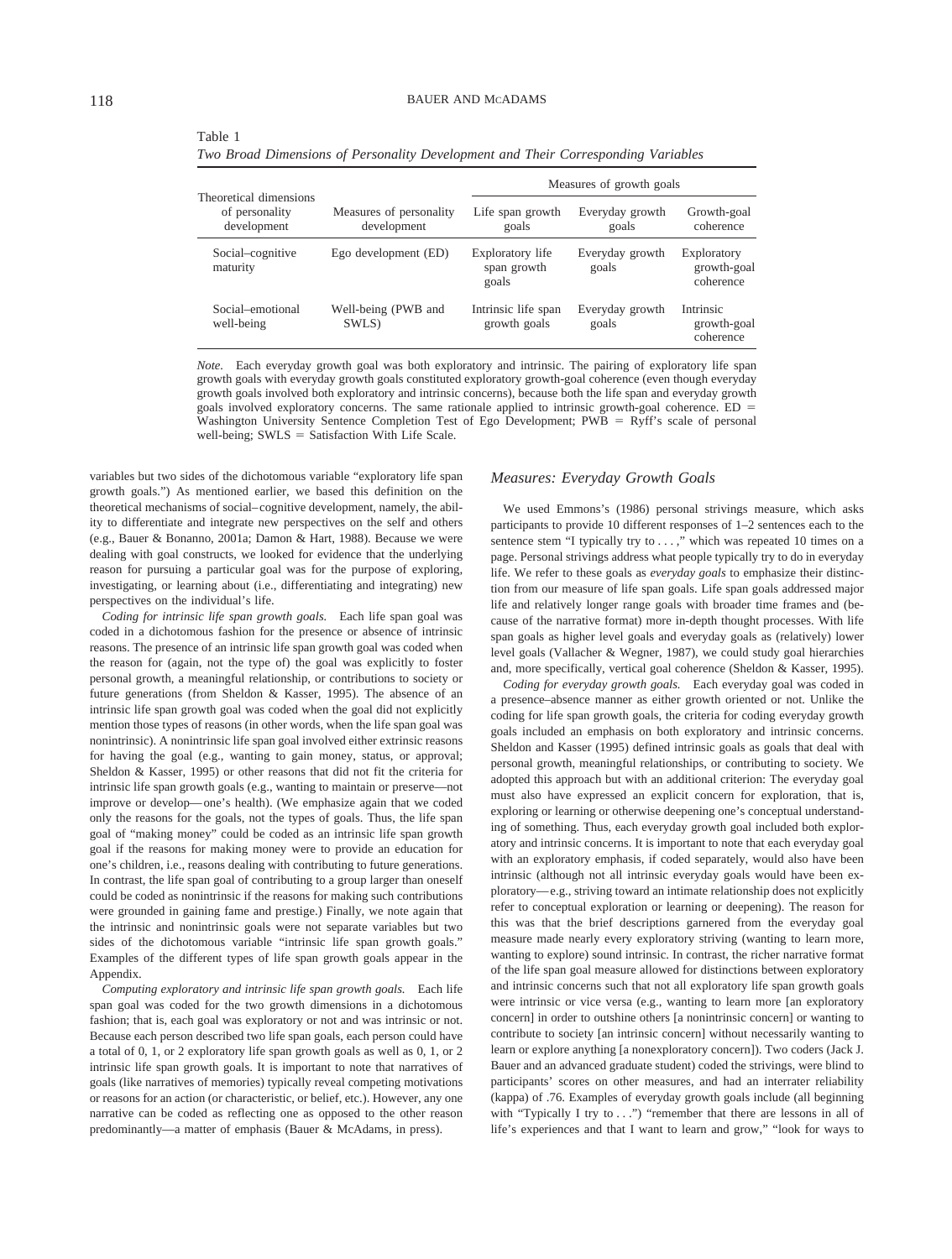#### 118 BAUER AND MCADAMS

|                                                         |                                        |                                          | Measures of growth goals |                                         |
|---------------------------------------------------------|----------------------------------------|------------------------------------------|--------------------------|-----------------------------------------|
| Theoretical dimensions<br>of personality<br>development | Measures of personality<br>development | Life span growth<br>goals                | Everyday growth<br>goals | Growth-goal<br>coherence                |
| Social–cognitive<br>maturity                            | Ego development (ED)                   | Exploratory life<br>span growth<br>goals | Everyday growth<br>goals | Exploratory<br>growth-goal<br>coherence |
| Social-emotional<br>well-being                          | Well-being (PWB and<br>SWLS)           | Intrinsic life span<br>growth goals      | Everyday growth<br>goals | Intrinsic<br>growth-goal<br>coherence   |

Table 1 *Two Broad Dimensions of Personality Development and Their Corresponding Variables*

*Note.* Each everyday growth goal was both exploratory and intrinsic. The pairing of exploratory life span growth goals with everyday growth goals constituted exploratory growth-goal coherence (even though everyday growth goals involved both exploratory and intrinsic concerns), because both the life span and everyday growth goals involved exploratory concerns. The same rationale applied to intrinsic growth-goal coherence. ED Washington University Sentence Completion Test of Ego Development; PWB = Ryff's scale of personal well-being;  $SWLS = Satisfactor With Life Scale.$ 

variables but two sides of the dichotomous variable "exploratory life span growth goals.") As mentioned earlier, we based this definition on the theoretical mechanisms of social–cognitive development, namely, the ability to differentiate and integrate new perspectives on the self and others (e.g., Bauer & Bonanno, 2001a; Damon & Hart, 1988). Because we were dealing with goal constructs, we looked for evidence that the underlying reason for pursuing a particular goal was for the purpose of exploring, investigating, or learning about (i.e., differentiating and integrating) new perspectives on the individual's life.

*Coding for intrinsic life span growth goals.* Each life span goal was coded in a dichotomous fashion for the presence or absence of intrinsic reasons. The presence of an intrinsic life span growth goal was coded when the reason for (again, not the type of) the goal was explicitly to foster personal growth, a meaningful relationship, or contributions to society or future generations (from Sheldon & Kasser, 1995). The absence of an intrinsic life span growth goal was coded when the goal did not explicitly mention those types of reasons (in other words, when the life span goal was nonintrinsic). A nonintrinsic life span goal involved either extrinsic reasons for having the goal (e.g., wanting to gain money, status, or approval; Sheldon & Kasser, 1995) or other reasons that did not fit the criteria for intrinsic life span growth goals (e.g., wanting to maintain or preserve—not improve or develop—one's health). (We emphasize again that we coded only the reasons for the goals, not the types of goals. Thus, the life span goal of "making money" could be coded as an intrinsic life span growth goal if the reasons for making money were to provide an education for one's children, i.e., reasons dealing with contributing to future generations. In contrast, the life span goal of contributing to a group larger than oneself could be coded as nonintrinsic if the reasons for making such contributions were grounded in gaining fame and prestige.) Finally, we note again that the intrinsic and nonintrinsic goals were not separate variables but two sides of the dichotomous variable "intrinsic life span growth goals." Examples of the different types of life span growth goals appear in the Appendix.

*Computing exploratory and intrinsic life span growth goals.* Each life span goal was coded for the two growth dimensions in a dichotomous fashion; that is, each goal was exploratory or not and was intrinsic or not. Because each person described two life span goals, each person could have a total of 0, 1, or 2 exploratory life span growth goals as well as 0, 1, or 2 intrinsic life span growth goals. It is important to note that narratives of goals (like narratives of memories) typically reveal competing motivations or reasons for an action (or characteristic, or belief, etc.). However, any one narrative can be coded as reflecting one as opposed to the other reason predominantly—a matter of emphasis (Bauer & McAdams, in press).

## *Measures: Everyday Growth Goals*

We used Emmons's (1986) personal strivings measure, which asks participants to provide 10 different responses of 1–2 sentences each to the sentence stem "I typically try to . . . ," which was repeated 10 times on a page. Personal strivings address what people typically try to do in everyday life. We refer to these goals as *everyday goals* to emphasize their distinction from our measure of life span goals. Life span goals addressed major life and relatively longer range goals with broader time frames and (because of the narrative format) more in-depth thought processes. With life span goals as higher level goals and everyday goals as (relatively) lower level goals (Vallacher & Wegner, 1987), we could study goal hierarchies and, more specifically, vertical goal coherence (Sheldon & Kasser, 1995).

*Coding for everyday growth goals.* Each everyday goal was coded in a presence–absence manner as either growth oriented or not. Unlike the coding for life span growth goals, the criteria for coding everyday growth goals included an emphasis on both exploratory and intrinsic concerns. Sheldon and Kasser (1995) defined intrinsic goals as goals that deal with personal growth, meaningful relationships, or contributing to society. We adopted this approach but with an additional criterion: The everyday goal must also have expressed an explicit concern for exploration, that is, exploring or learning or otherwise deepening one's conceptual understanding of something. Thus, each everyday growth goal included both exploratory and intrinsic concerns. It is important to note that each everyday goal with an exploratory emphasis, if coded separately, would also have been intrinsic (although not all intrinsic everyday goals would have been exploratory—e.g., striving toward an intimate relationship does not explicitly refer to conceptual exploration or learning or deepening). The reason for this was that the brief descriptions garnered from the everyday goal measure made nearly every exploratory striving (wanting to learn more, wanting to explore) sound intrinsic. In contrast, the richer narrative format of the life span goal measure allowed for distinctions between exploratory and intrinsic concerns such that not all exploratory life span growth goals were intrinsic or vice versa (e.g., wanting to learn more [an exploratory concern] in order to outshine others [a nonintrinsic concern] or wanting to contribute to society [an intrinsic concern] without necessarily wanting to learn or explore anything [a nonexploratory concern]). Two coders (Jack J. Bauer and an advanced graduate student) coded the strivings, were blind to participants' scores on other measures, and had an interrater reliability (kappa) of .76. Examples of everyday growth goals include (all beginning with "Typically I try to ...") "remember that there are lessons in all of life's experiences and that I want to learn and grow," "look for ways to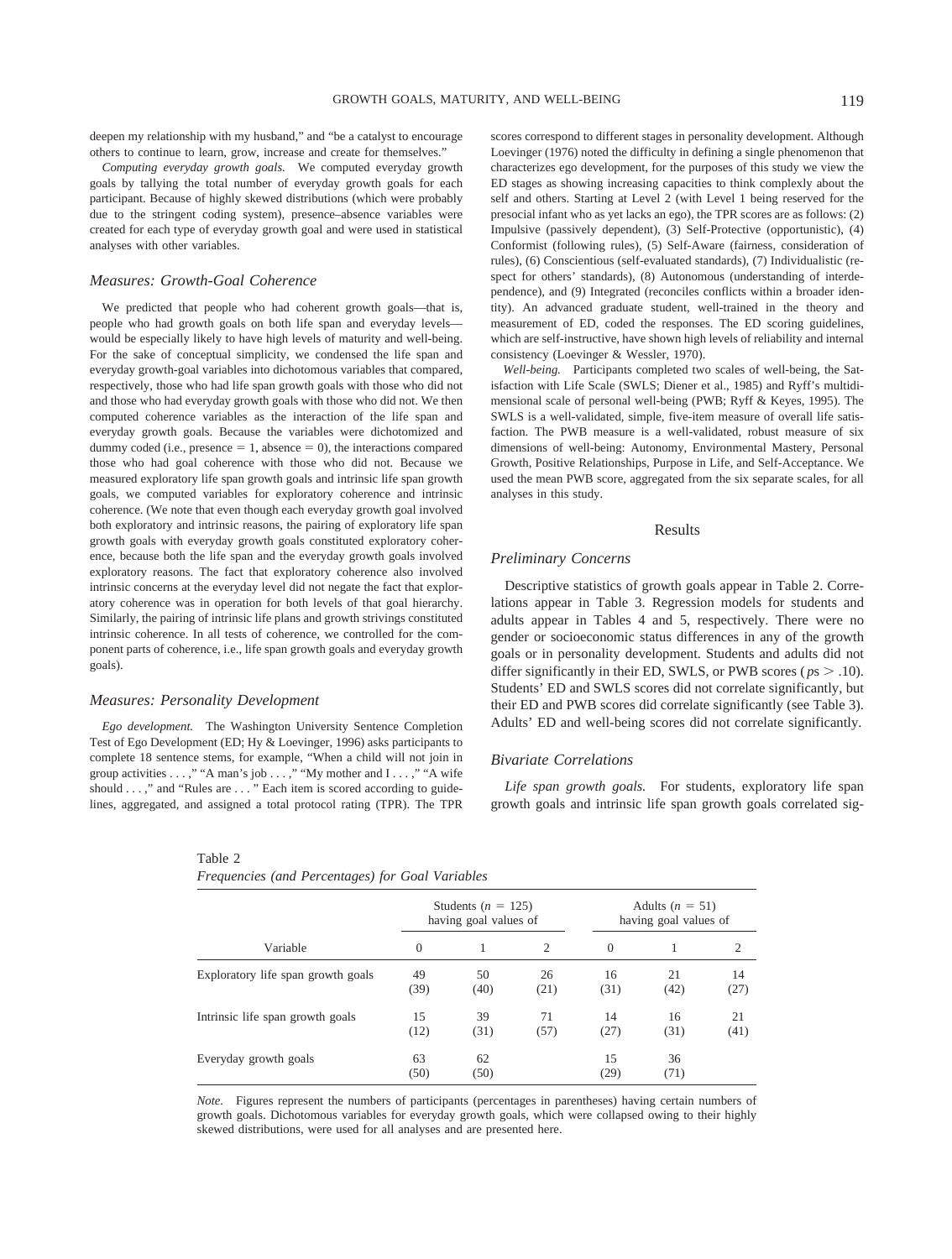deepen my relationship with my husband," and "be a catalyst to encourage others to continue to learn, grow, increase and create for themselves."

*Computing everyday growth goals.* We computed everyday growth goals by tallying the total number of everyday growth goals for each participant. Because of highly skewed distributions (which were probably due to the stringent coding system), presence–absence variables were created for each type of everyday growth goal and were used in statistical analyses with other variables.

# *Measures: Growth-Goal Coherence*

We predicted that people who had coherent growth goals—that is, people who had growth goals on both life span and everyday levels would be especially likely to have high levels of maturity and well-being. For the sake of conceptual simplicity, we condensed the life span and everyday growth-goal variables into dichotomous variables that compared, respectively, those who had life span growth goals with those who did not and those who had everyday growth goals with those who did not. We then computed coherence variables as the interaction of the life span and everyday growth goals. Because the variables were dichotomized and dummy coded (i.e., presence  $= 1$ , absence  $= 0$ ), the interactions compared those who had goal coherence with those who did not. Because we measured exploratory life span growth goals and intrinsic life span growth goals, we computed variables for exploratory coherence and intrinsic coherence. (We note that even though each everyday growth goal involved both exploratory and intrinsic reasons, the pairing of exploratory life span growth goals with everyday growth goals constituted exploratory coherence, because both the life span and the everyday growth goals involved exploratory reasons. The fact that exploratory coherence also involved intrinsic concerns at the everyday level did not negate the fact that exploratory coherence was in operation for both levels of that goal hierarchy. Similarly, the pairing of intrinsic life plans and growth strivings constituted intrinsic coherence. In all tests of coherence, we controlled for the component parts of coherence, i.e., life span growth goals and everyday growth goals).

## *Measures: Personality Development*

*Ego development.* The Washington University Sentence Completion Test of Ego Development (ED; Hy & Loevinger, 1996) asks participants to complete 18 sentence stems, for example, "When a child will not join in group activities  $\dots$ ," "A man's job  $\dots$ ," "My mother and I $\dots$ ," "A wife should ...," and "Rules are ..." Each item is scored according to guidelines, aggregated, and assigned a total protocol rating (TPR). The TPR scores correspond to different stages in personality development. Although Loevinger (1976) noted the difficulty in defining a single phenomenon that characterizes ego development, for the purposes of this study we view the ED stages as showing increasing capacities to think complexly about the self and others. Starting at Level 2 (with Level 1 being reserved for the presocial infant who as yet lacks an ego), the TPR scores are as follows: (2) Impulsive (passively dependent), (3) Self-Protective (opportunistic), (4) Conformist (following rules), (5) Self-Aware (fairness, consideration of rules), (6) Conscientious (self-evaluated standards), (7) Individualistic (respect for others' standards), (8) Autonomous (understanding of interdependence), and (9) Integrated (reconciles conflicts within a broader identity). An advanced graduate student, well-trained in the theory and measurement of ED, coded the responses. The ED scoring guidelines, which are self-instructive, have shown high levels of reliability and internal consistency (Loevinger & Wessler, 1970).

*Well-being.* Participants completed two scales of well-being, the Satisfaction with Life Scale (SWLS; Diener et al., 1985) and Ryff's multidimensional scale of personal well-being (PWB; Ryff & Keyes, 1995). The SWLS is a well-validated, simple, five-item measure of overall life satisfaction. The PWB measure is a well-validated, robust measure of six dimensions of well-being: Autonomy, Environmental Mastery, Personal Growth, Positive Relationships, Purpose in Life, and Self-Acceptance. We used the mean PWB score, aggregated from the six separate scales, for all analyses in this study.

#### Results

#### *Preliminary Concerns*

Descriptive statistics of growth goals appear in Table 2. Correlations appear in Table 3. Regression models for students and adults appear in Tables 4 and 5, respectively. There were no gender or socioeconomic status differences in any of the growth goals or in personality development. Students and adults did not differ significantly in their ED, SWLS, or PWB scores ( $ps > .10$ ). Students' ED and SWLS scores did not correlate significantly, but their ED and PWB scores did correlate significantly (see Table 3). Adults' ED and well-being scores did not correlate significantly.

#### *Bivariate Correlations*

*Life span growth goals.* For students, exploratory life span growth goals and intrinsic life span growth goals correlated sig-

Table 2 *Frequencies (and Percentages) for Goal Variables*

|                                    |            | Students ( $n = 125$ )<br>having goal values of |            | Adults $(n = 51)$<br>having goal values of |            |                |
|------------------------------------|------------|-------------------------------------------------|------------|--------------------------------------------|------------|----------------|
| Variable                           | $\Omega$   | 1                                               | 2          | $\Omega$                                   |            | $\overline{2}$ |
| Exploratory life span growth goals | 49<br>(39) | 50<br>(40)                                      | 26<br>(21) | 16<br>(31)                                 | 21<br>(42) | 14<br>(27)     |
| Intrinsic life span growth goals   | 15<br>(12) | 39<br>(31)                                      | 71<br>(57) | 14<br>(27)                                 | 16<br>(31) | 21<br>(41)     |
| Everyday growth goals              | 63<br>(50) | 62<br>(50)                                      |            | 15<br>(29)                                 | 36<br>(71) |                |

*Note.* Figures represent the numbers of participants (percentages in parentheses) having certain numbers of growth goals. Dichotomous variables for everyday growth goals, which were collapsed owing to their highly skewed distributions, were used for all analyses and are presented here.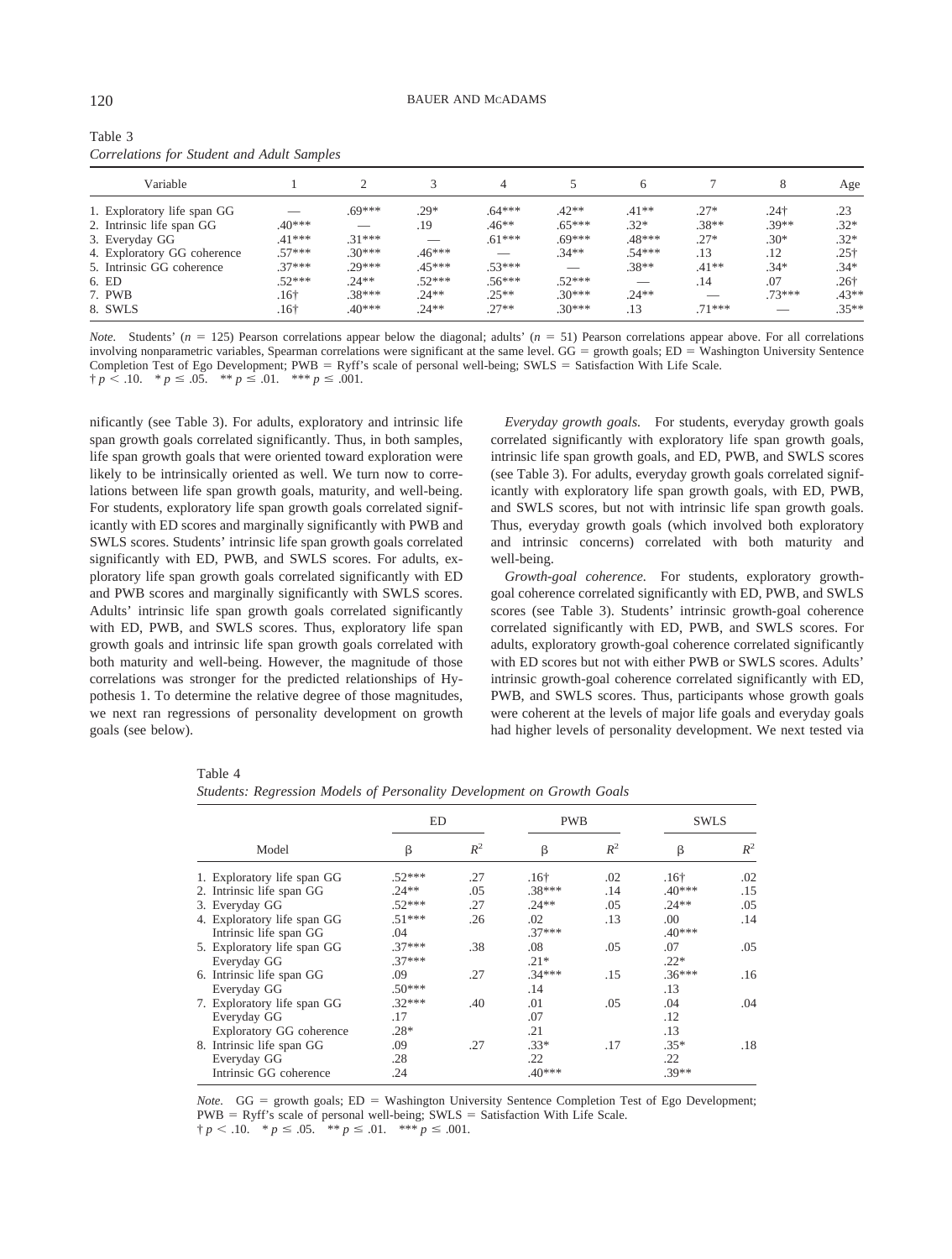|                  |          |          | 4        |          | 6                              |          |                  | Age              |
|------------------|----------|----------|----------|----------|--------------------------------|----------|------------------|------------------|
|                  | $.69***$ | $29*$    | $.64***$ | $.42**$  | $.41**$                        | $.27*$   | .24 <sup>†</sup> | .23              |
| $.40***$         |          | .19      | $.46**$  | $.65***$ | $.32*$                         | $.38**$  | $.39**$          | $.32*$           |
| $.41***$         | $31***$  |          | $.61***$ | $.69***$ | $.48***$                       | $.27*$   | $.30*$           | $.32*$           |
| $.57***$         | $.30***$ | $.46***$ |          | $.34**$  | $.54***$                       | .13      | .12              | .25 <sup>†</sup> |
| $37***$          | $29***$  | $.45***$ | $.53***$ |          | $.38**$                        | $.41**$  | $.34*$           | $.34*$           |
| $.52***$         | $.24**$  | $.52***$ | $.56***$ | $.52***$ | $\overbrace{\hspace{25mm}}^{}$ | .14      | .07              | .26 <sup>†</sup> |
| .16 <sup>†</sup> | .38***   | $.24**$  | $.25**$  | $.30***$ | $.24**$                        |          | $.73***$         | $.43**$          |
| .16 <sup>†</sup> | $.40***$ | $.24**$  | $.27**$  | $.30***$ | .13                            | $.71***$ |                  | $.35**$          |
|                  |          |          |          |          |                                |          |                  |                  |

| Table 3                                    |  |  |
|--------------------------------------------|--|--|
| Correlations for Student and Adult Samples |  |  |

*Note.* Students' ( $n = 125$ ) Pearson correlations appear below the diagonal; adults' ( $n = 51$ ) Pearson correlations appear above. For all correlations involving nonparametric variables, Spearman correlations were significant at the same level.  $GG =$  growth goals;  $ED =$  Washington University Sentence Completion Test of Ego Development; PWB = Ryff's scale of personal well-being; SWLS = Satisfaction With Life Scale.  $\dagger p < .10.$  \*  $p \le .05.$  \*\*  $p \le .01.$  \*\*\*  $p \le .001.$ 

nificantly (see Table 3). For adults, exploratory and intrinsic life span growth goals correlated significantly. Thus, in both samples, life span growth goals that were oriented toward exploration were likely to be intrinsically oriented as well. We turn now to correlations between life span growth goals, maturity, and well-being. For students, exploratory life span growth goals correlated significantly with ED scores and marginally significantly with PWB and SWLS scores. Students' intrinsic life span growth goals correlated significantly with ED, PWB, and SWLS scores. For adults, exploratory life span growth goals correlated significantly with ED and PWB scores and marginally significantly with SWLS scores. Adults' intrinsic life span growth goals correlated significantly with ED, PWB, and SWLS scores. Thus, exploratory life span growth goals and intrinsic life span growth goals correlated with both maturity and well-being. However, the magnitude of those correlations was stronger for the predicted relationships of Hypothesis 1. To determine the relative degree of those magnitudes, we next ran regressions of personality development on growth goals (see below).

*Everyday growth goals.* For students, everyday growth goals correlated significantly with exploratory life span growth goals, intrinsic life span growth goals, and ED, PWB, and SWLS scores (see Table 3). For adults, everyday growth goals correlated significantly with exploratory life span growth goals, with ED, PWB, and SWLS scores, but not with intrinsic life span growth goals. Thus, everyday growth goals (which involved both exploratory and intrinsic concerns) correlated with both maturity and well-being.

*Growth-goal coherence.* For students, exploratory growthgoal coherence correlated significantly with ED, PWB, and SWLS scores (see Table 3). Students' intrinsic growth-goal coherence correlated significantly with ED, PWB, and SWLS scores. For adults, exploratory growth-goal coherence correlated significantly with ED scores but not with either PWB or SWLS scores. Adults' intrinsic growth-goal coherence correlated significantly with ED, PWB, and SWLS scores. Thus, participants whose growth goals were coherent at the levels of major life goals and everyday goals had higher levels of personality development. We next tested via

|--|--|

| Students: Regression Models of Personality Development on Growth Goals |  |  |  |  |  |  |  |  |
|------------------------------------------------------------------------|--|--|--|--|--|--|--|--|
|------------------------------------------------------------------------|--|--|--|--|--|--|--|--|

|  |                             | ED       |       | <b>PWB</b>       |       | <b>SWLS</b> |       |
|--|-----------------------------|----------|-------|------------------|-------|-------------|-------|
|  | Model                       | β        | $R^2$ | β                | $R^2$ | β           | $R^2$ |
|  | 1. Exploratory life span GG | $.52***$ | .27   | .16 <sup>†</sup> | .02   | $.16+$      | .02   |
|  | 2. Intrinsic life span GG   | $.24***$ | .05   | $.38***$         | .14   | $.40***$    | .15   |
|  | 3. Everyday GG              | $.52***$ | .27   | $.24**$          | .05   | $.24***$    | .05   |
|  | 4. Exploratory life span GG | $.51***$ | .26   | .02              | .13   | .00.        | .14   |
|  | Intrinsic life span GG      | .04      |       | $37***$          |       | $.40***$    |       |
|  | 5. Exploratory life span GG | $.37***$ | .38   | .08              | .05   | .07         | .05   |
|  | Everyday GG                 | $.37***$ |       | $.21*$           |       | $.22*$      |       |
|  | 6. Intrinsic life span GG   | .09      | .27   | $.34***$         | .15   | $.36***$    | .16   |
|  | Everyday GG                 | $.50***$ |       | .14              |       | .13         |       |
|  | 7. Exploratory life span GG | $.32***$ | .40   | .01              | .05   | .04         | .04   |
|  | Everyday GG                 | .17      |       | .07              |       | .12         |       |
|  | Exploratory GG coherence    | $.28*$   |       | .21              |       | .13         |       |
|  | 8. Intrinsic life span GG   | .09      | .27   | $.33*$           | .17   | $.35*$      | .18   |
|  | Everyday GG                 | .28      |       | .22              |       | .22         |       |
|  | Intrinsic GG coherence      | .24      |       | $.40***$         |       | $.39**$     |       |

*Note.* GG = growth goals; ED = Washington University Sentence Completion Test of Ego Development;  $PWB = Ryff's scale of personal well-being; SWLS = Satisfactor with Life Scale.$  $\dagger p < .10.$  \*  $p \le .05.$  \*\*  $p \le .01.$  \*\*\*  $p \le .001.$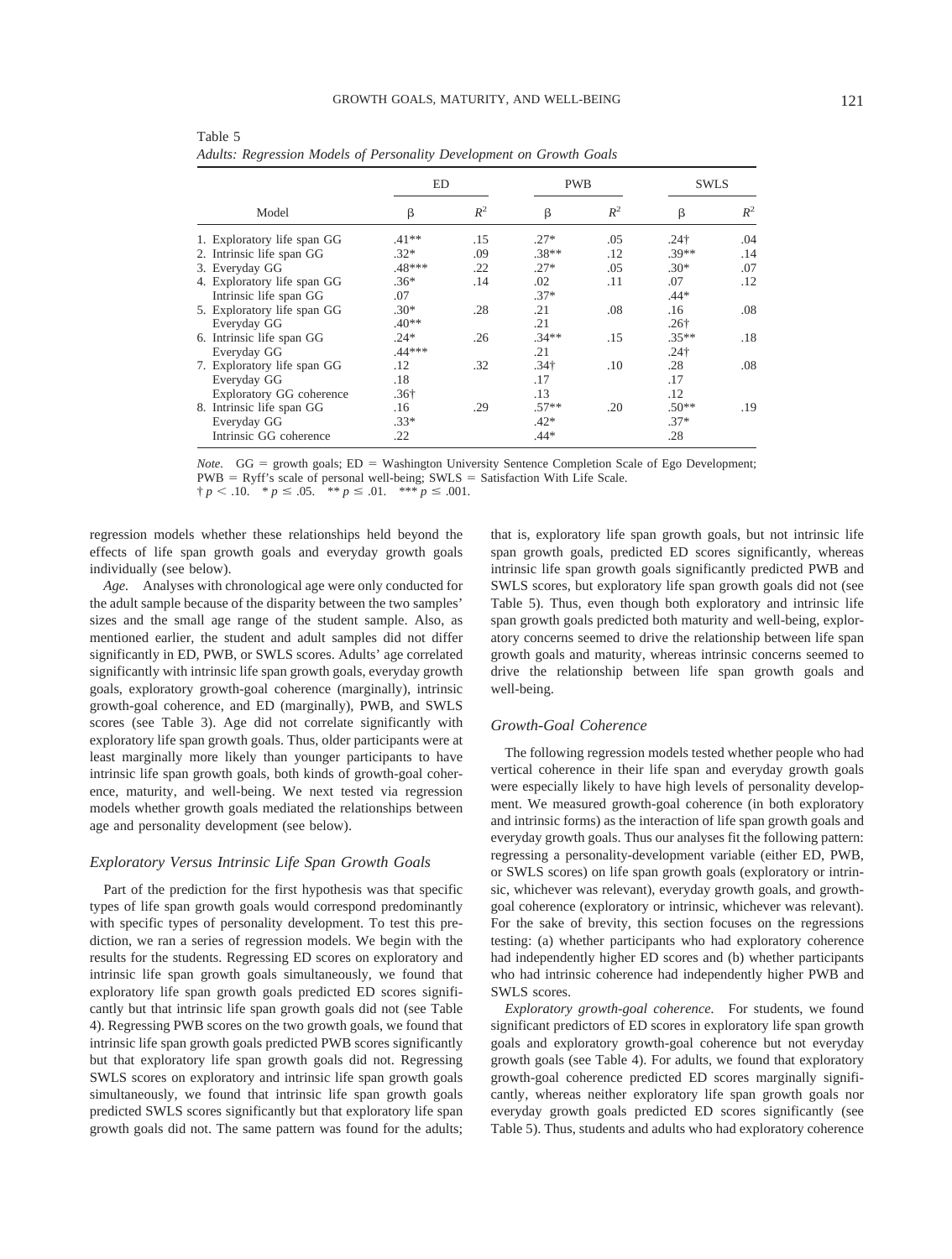|                             | ED               |       | <b>PWB</b>       |         | <b>SWLS</b>      |       |
|-----------------------------|------------------|-------|------------------|---------|------------------|-------|
| Model                       | β                | $R^2$ | β                | $R^2$   | β                | $R^2$ |
| 1. Exploratory life span GG | $.41***$         | .15   | $.27*$           | .05     | .24 <sub>†</sub> | .04   |
| 2. Intrinsic life span GG   | $.32*$           | .09   | $.38**$          | $.12\,$ | $.39**$          | .14   |
| 3. Everyday GG              | .48***           | .22   | $.27*$           | .05     | $.30*$           | .07   |
| 4. Exploratory life span GG | $.36*$           | .14   | .02              | .11     | .07              | .12   |
| Intrinsic life span GG      | .07              |       | $.37*$           |         | .44*             |       |
| 5. Exploratory life span GG | $.30*$           | .28   | .21              | .08     | .16              | .08   |
| Everyday GG                 | $.40**$          |       | .21              |         | $.26+$           |       |
| 6. Intrinsic life span GG   | $.24*$           | .26   | $.34**$          | .15     | $.35**$          | .18   |
| Everyday GG                 | $.44***$         |       | .21              |         | .24 <sub>†</sub> |       |
| 7. Exploratory life span GG | .12              | .32   | .34 <sub>†</sub> | .10     | .28              | .08   |
| Everyday GG                 | .18              |       | .17              |         | .17              |       |
| Exploratory GG coherence    | .36 <sup>†</sup> |       | .13              |         | .12              |       |
| 8. Intrinsic life span GG   | .16              | .29   | $.57**$          | .20     | $.50**$          | .19   |
| Everyday GG                 | $.33*$           |       | $.42*$           |         | $.37*$           |       |
| Intrinsic GG coherence      | .22              |       | $.44*$           |         | .28              |       |

Table 5 *Adults: Regression Models of Personality Development on Growth Goals*

*Note.*  $GG =$  growth goals;  $ED =$  Washington University Sentence Completion Scale of Ego Development;  $PWB = Ryff's scale of personal well-being; SWLS = Satisfactor With Life Scale.$  $\uparrow p < .10.$  \*  $p \le .05.$  \*\*  $p \le .01.$  \*\*\*  $p \le .001.$ 

regression models whether these relationships held beyond the effects of life span growth goals and everyday growth goals individually (see below).

*Age.* Analyses with chronological age were only conducted for the adult sample because of the disparity between the two samples' sizes and the small age range of the student sample. Also, as mentioned earlier, the student and adult samples did not differ significantly in ED, PWB, or SWLS scores. Adults' age correlated significantly with intrinsic life span growth goals, everyday growth goals, exploratory growth-goal coherence (marginally), intrinsic growth-goal coherence, and ED (marginally), PWB, and SWLS scores (see Table 3). Age did not correlate significantly with exploratory life span growth goals. Thus, older participants were at least marginally more likely than younger participants to have intrinsic life span growth goals, both kinds of growth-goal coherence, maturity, and well-being. We next tested via regression models whether growth goals mediated the relationships between age and personality development (see below).

#### *Exploratory Versus Intrinsic Life Span Growth Goals*

Part of the prediction for the first hypothesis was that specific types of life span growth goals would correspond predominantly with specific types of personality development. To test this prediction, we ran a series of regression models. We begin with the results for the students. Regressing ED scores on exploratory and intrinsic life span growth goals simultaneously, we found that exploratory life span growth goals predicted ED scores significantly but that intrinsic life span growth goals did not (see Table 4). Regressing PWB scores on the two growth goals, we found that intrinsic life span growth goals predicted PWB scores significantly but that exploratory life span growth goals did not. Regressing SWLS scores on exploratory and intrinsic life span growth goals simultaneously, we found that intrinsic life span growth goals predicted SWLS scores significantly but that exploratory life span growth goals did not. The same pattern was found for the adults; that is, exploratory life span growth goals, but not intrinsic life span growth goals, predicted ED scores significantly, whereas intrinsic life span growth goals significantly predicted PWB and SWLS scores, but exploratory life span growth goals did not (see Table 5). Thus, even though both exploratory and intrinsic life span growth goals predicted both maturity and well-being, exploratory concerns seemed to drive the relationship between life span growth goals and maturity, whereas intrinsic concerns seemed to drive the relationship between life span growth goals and well-being.

# *Growth-Goal Coherence*

The following regression models tested whether people who had vertical coherence in their life span and everyday growth goals were especially likely to have high levels of personality development. We measured growth-goal coherence (in both exploratory and intrinsic forms) as the interaction of life span growth goals and everyday growth goals. Thus our analyses fit the following pattern: regressing a personality-development variable (either ED, PWB, or SWLS scores) on life span growth goals (exploratory or intrinsic, whichever was relevant), everyday growth goals, and growthgoal coherence (exploratory or intrinsic, whichever was relevant). For the sake of brevity, this section focuses on the regressions testing: (a) whether participants who had exploratory coherence had independently higher ED scores and (b) whether participants who had intrinsic coherence had independently higher PWB and SWLS scores.

*Exploratory growth-goal coherence.* For students, we found significant predictors of ED scores in exploratory life span growth goals and exploratory growth-goal coherence but not everyday growth goals (see Table 4). For adults, we found that exploratory growth-goal coherence predicted ED scores marginally significantly, whereas neither exploratory life span growth goals nor everyday growth goals predicted ED scores significantly (see Table 5). Thus, students and adults who had exploratory coherence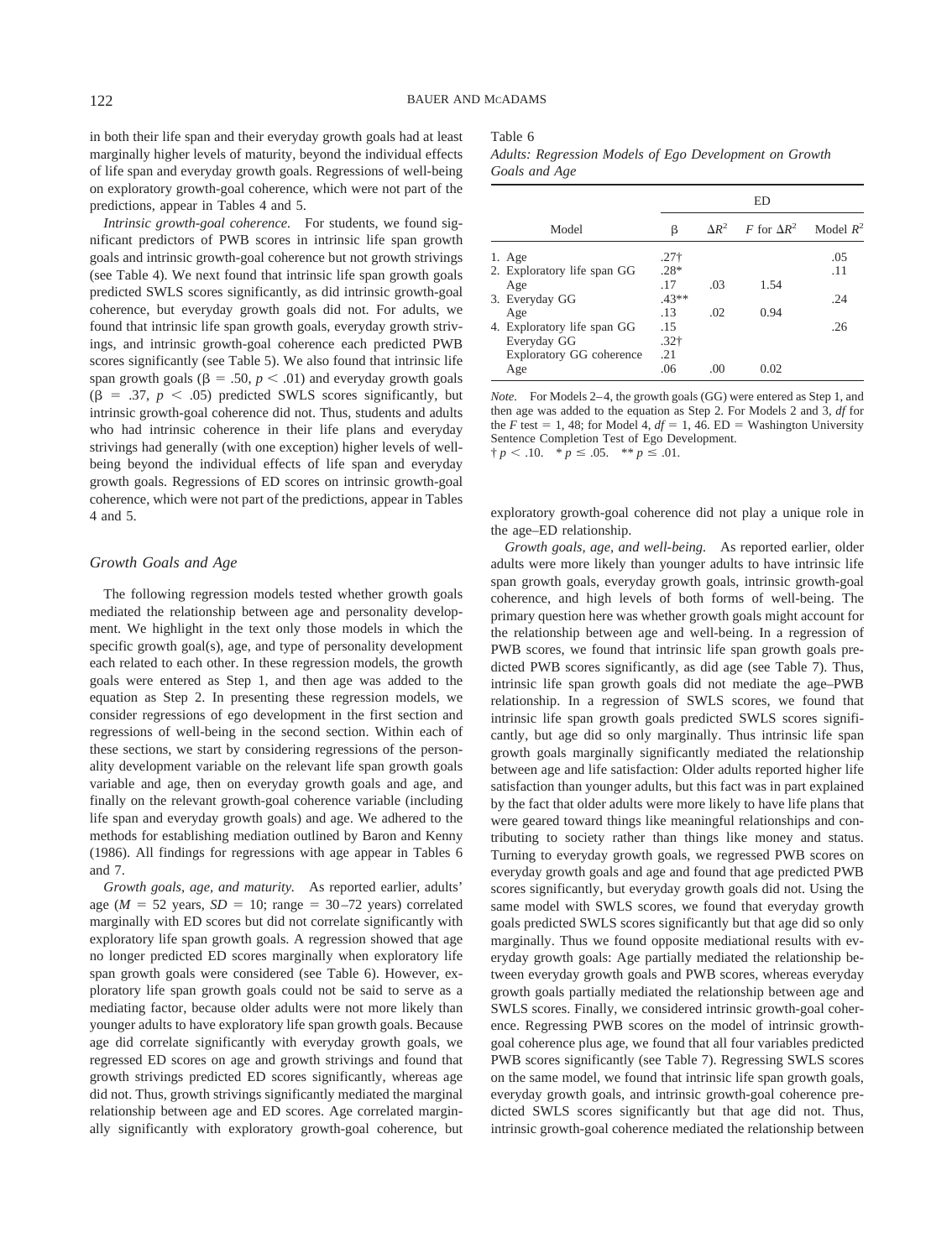in both their life span and their everyday growth goals had at least marginally higher levels of maturity, beyond the individual effects of life span and everyday growth goals. Regressions of well-being on exploratory growth-goal coherence, which were not part of the predictions, appear in Tables 4 and 5.

*Intrinsic growth-goal coherence.* For students, we found significant predictors of PWB scores in intrinsic life span growth goals and intrinsic growth-goal coherence but not growth strivings (see Table 4). We next found that intrinsic life span growth goals predicted SWLS scores significantly, as did intrinsic growth-goal coherence, but everyday growth goals did not. For adults, we found that intrinsic life span growth goals, everyday growth strivings, and intrinsic growth-goal coherence each predicted PWB scores significantly (see Table 5). We also found that intrinsic life span growth goals ( $\beta = .50, p < .01$ ) and everyday growth goals  $( \beta = .37, p < .05)$  predicted SWLS scores significantly, but intrinsic growth-goal coherence did not. Thus, students and adults who had intrinsic coherence in their life plans and everyday strivings had generally (with one exception) higher levels of wellbeing beyond the individual effects of life span and everyday growth goals. Regressions of ED scores on intrinsic growth-goal coherence, which were not part of the predictions, appear in Tables 4 and 5.

# *Growth Goals and Age*

The following regression models tested whether growth goals mediated the relationship between age and personality development. We highlight in the text only those models in which the specific growth goal(s), age, and type of personality development each related to each other. In these regression models, the growth goals were entered as Step 1, and then age was added to the equation as Step 2. In presenting these regression models, we consider regressions of ego development in the first section and regressions of well-being in the second section. Within each of these sections, we start by considering regressions of the personality development variable on the relevant life span growth goals variable and age, then on everyday growth goals and age, and finally on the relevant growth-goal coherence variable (including life span and everyday growth goals) and age. We adhered to the methods for establishing mediation outlined by Baron and Kenny (1986). All findings for regressions with age appear in Tables 6 and 7.

*Growth goals, age, and maturity.* As reported earlier, adults' age ( $M = 52$  years,  $SD = 10$ ; range = 30–72 years) correlated marginally with ED scores but did not correlate significantly with exploratory life span growth goals. A regression showed that age no longer predicted ED scores marginally when exploratory life span growth goals were considered (see Table 6). However, exploratory life span growth goals could not be said to serve as a mediating factor, because older adults were not more likely than younger adults to have exploratory life span growth goals. Because age did correlate significantly with everyday growth goals, we regressed ED scores on age and growth strivings and found that growth strivings predicted ED scores significantly, whereas age did not. Thus, growth strivings significantly mediated the marginal relationship between age and ED scores. Age correlated marginally significantly with exploratory growth-goal coherence, but

| Table 6                                                |  |  |
|--------------------------------------------------------|--|--|
| Adults: Regression Models of Ego Development on Growth |  |  |
| Goals and Age                                          |  |  |

|                             |                  |               | ED                             |     |
|-----------------------------|------------------|---------------|--------------------------------|-----|
| Model                       | ß                | $\Lambda R^2$ | F for $\Delta R^2$ Model $R^2$ |     |
| 1. Age                      | .27 <sup>†</sup> |               |                                | .05 |
| 2. Exploratory life span GG | $.28*$           |               |                                | .11 |
| Age                         | 17               | .03           | 1.54                           |     |
| 3. Everyday GG              | $.43**$          |               |                                | .24 |
| Age                         | .13              | .02           | 0.94                           |     |
| 4. Exploratory life span GG | .15              |               |                                | .26 |
| Everyday GG                 | $.32+$           |               |                                |     |
| Exploratory GG coherence    | .21              |               |                                |     |
| Age                         | .06              | (0)           | 0.02                           |     |

*Note.* For Models 2–4, the growth goals (GG) were entered as Step 1, and then age was added to the equation as Step 2. For Models 2 and 3, *df* for the *F* test = 1, 48; for Model 4,  $df = 1$ , 46. ED = Washington University Sentence Completion Test of Ego Development.  $\dagger p < .10.$   $\ast p \le .05.$   $\ast p \le .01.$ 

exploratory growth-goal coherence did not play a unique role in the age–ED relationship.

*Growth goals, age, and well-being.* As reported earlier, older adults were more likely than younger adults to have intrinsic life span growth goals, everyday growth goals, intrinsic growth-goal coherence, and high levels of both forms of well-being. The primary question here was whether growth goals might account for the relationship between age and well-being. In a regression of PWB scores, we found that intrinsic life span growth goals predicted PWB scores significantly, as did age (see Table 7). Thus, intrinsic life span growth goals did not mediate the age–PWB relationship. In a regression of SWLS scores, we found that intrinsic life span growth goals predicted SWLS scores significantly, but age did so only marginally. Thus intrinsic life span growth goals marginally significantly mediated the relationship between age and life satisfaction: Older adults reported higher life satisfaction than younger adults, but this fact was in part explained by the fact that older adults were more likely to have life plans that were geared toward things like meaningful relationships and contributing to society rather than things like money and status. Turning to everyday growth goals, we regressed PWB scores on everyday growth goals and age and found that age predicted PWB scores significantly, but everyday growth goals did not. Using the same model with SWLS scores, we found that everyday growth goals predicted SWLS scores significantly but that age did so only marginally. Thus we found opposite mediational results with everyday growth goals: Age partially mediated the relationship between everyday growth goals and PWB scores, whereas everyday growth goals partially mediated the relationship between age and SWLS scores. Finally, we considered intrinsic growth-goal coherence. Regressing PWB scores on the model of intrinsic growthgoal coherence plus age, we found that all four variables predicted PWB scores significantly (see Table 7). Regressing SWLS scores on the same model, we found that intrinsic life span growth goals, everyday growth goals, and intrinsic growth-goal coherence predicted SWLS scores significantly but that age did not. Thus, intrinsic growth-goal coherence mediated the relationship between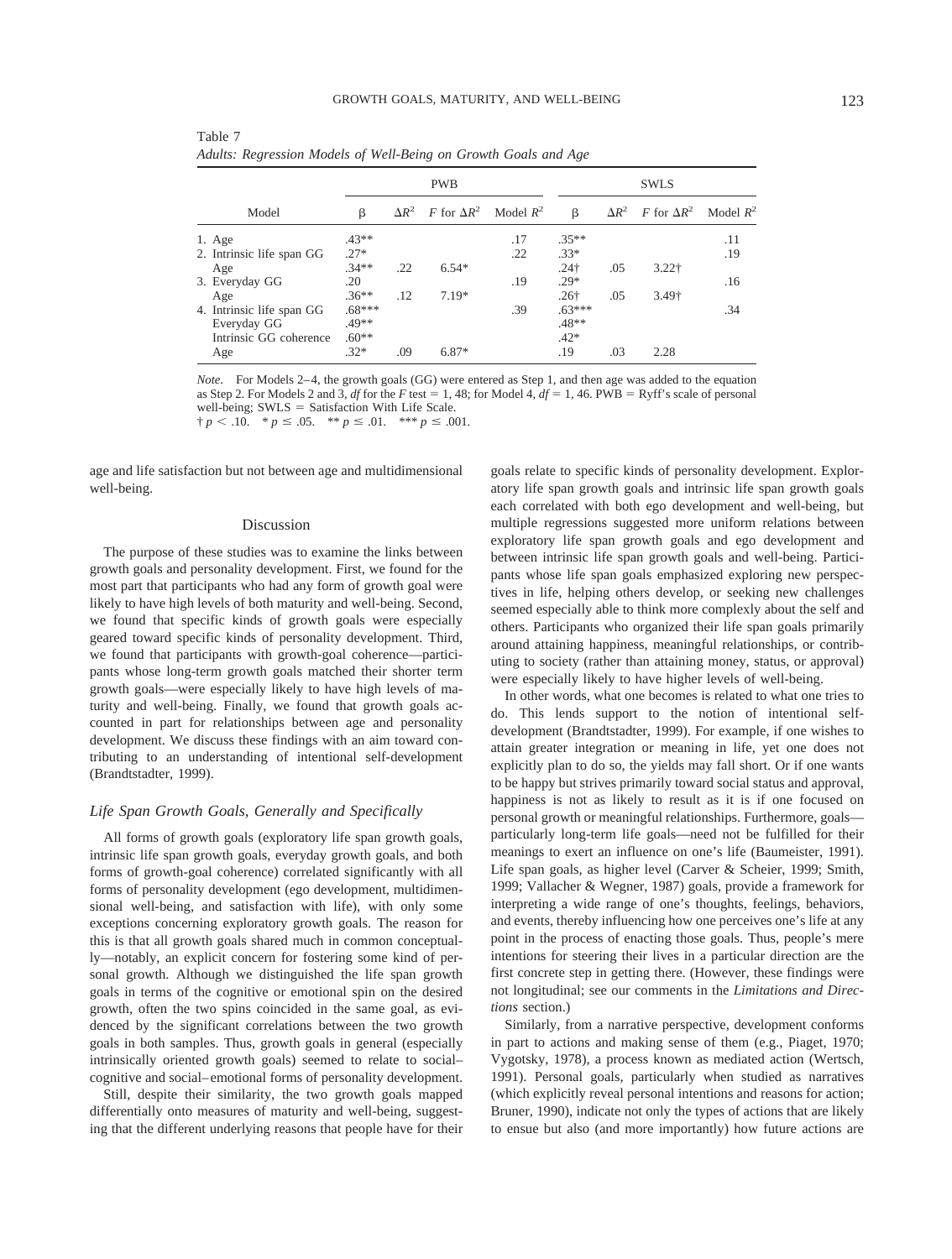|  | I<br>×<br>٧ |
|--|-------------|

|        |                           |          |     | <b>PWB</b>                                  |     |                  |              | <b>SWLS</b>        |             |
|--------|---------------------------|----------|-----|---------------------------------------------|-----|------------------|--------------|--------------------|-------------|
|        | Model                     | β        |     | $\Delta R^2$ F for $\Delta R^2$ Model $R^2$ |     | β                | $\Delta R^2$ | F for $\Delta R^2$ | Model $R^2$ |
| 1. Age |                           | $.43**$  |     |                                             | .17 | $.35**$          |              |                    | .11         |
|        | 2. Intrinsic life span GG | $.27*$   |     |                                             | .22 | $.33*$           |              |                    | .19         |
| Age    |                           | $.34**$  | .22 | $6.54*$                                     |     | .24 <sup>†</sup> | .05          | $3.22\dagger$      |             |
|        | 3. Everyday GG            | .20      |     |                                             | .19 | $.29*$           |              |                    | .16         |
| Age    |                           | $.36**$  | .12 | $7.19*$                                     |     | $.26+$           | .05          | 3.49 <sup>+</sup>  |             |
|        | 4. Intrinsic life span GG | $.68***$ |     |                                             | .39 | $.63***$         |              |                    | .34         |
|        | Everyday GG               | $.49**$  |     |                                             |     | $.48**$          |              |                    |             |
|        | Intrinsic GG coherence    | $.60**$  |     |                                             |     | $.42*$           |              |                    |             |
| Age    |                           | $.32*$   | .09 | $6.87*$                                     |     | .19              | .03          | 2.28               |             |

Table 7 *Adults: Regression Models of Well-Being on Growth Goals and Age*

*Note.* For Models 2–4, the growth goals (GG) were entered as Step 1, and then age was added to the equation as Step 2. For Models 2 and 3, *df* for the *F* test  $= 1, 48$ ; for Model 4,  $df = 1, 46$ . PWB  $=$  Ryff's scale of personal well-being;  $SWLS = S$ atisfaction With Life Scale.

 $\uparrow p < .10.$  \*  $p \leq .05.$  \*\*  $p \leq .01.$  \*\*\*  $p \leq .001.$ 

age and life satisfaction but not between age and multidimensional well-being.

#### Discussion

The purpose of these studies was to examine the links between growth goals and personality development. First, we found for the most part that participants who had any form of growth goal were likely to have high levels of both maturity and well-being. Second, we found that specific kinds of growth goals were especially geared toward specific kinds of personality development. Third, we found that participants with growth-goal coherence—participants whose long-term growth goals matched their shorter term growth goals—were especially likely to have high levels of maturity and well-being. Finally, we found that growth goals accounted in part for relationships between age and personality development. We discuss these findings with an aim toward contributing to an understanding of intentional self-development (Brandtstadter, 1999).

# *Life Span Growth Goals, Generally and Specifically*

All forms of growth goals (exploratory life span growth goals, intrinsic life span growth goals, everyday growth goals, and both forms of growth-goal coherence) correlated significantly with all forms of personality development (ego development, multidimensional well-being, and satisfaction with life), with only some exceptions concerning exploratory growth goals. The reason for this is that all growth goals shared much in common conceptually—notably, an explicit concern for fostering some kind of personal growth. Although we distinguished the life span growth goals in terms of the cognitive or emotional spin on the desired growth, often the two spins coincided in the same goal, as evidenced by the significant correlations between the two growth goals in both samples. Thus, growth goals in general (especially intrinsically oriented growth goals) seemed to relate to social– cognitive and social–emotional forms of personality development.

Still, despite their similarity, the two growth goals mapped differentially onto measures of maturity and well-being, suggesting that the different underlying reasons that people have for their goals relate to specific kinds of personality development. Exploratory life span growth goals and intrinsic life span growth goals each correlated with both ego development and well-being, but multiple regressions suggested more uniform relations between exploratory life span growth goals and ego development and between intrinsic life span growth goals and well-being. Participants whose life span goals emphasized exploring new perspectives in life, helping others develop, or seeking new challenges seemed especially able to think more complexly about the self and others. Participants who organized their life span goals primarily around attaining happiness, meaningful relationships, or contributing to society (rather than attaining money, status, or approval) were especially likely to have higher levels of well-being.

In other words, what one becomes is related to what one tries to do. This lends support to the notion of intentional selfdevelopment (Brandtstadter, 1999). For example, if one wishes to attain greater integration or meaning in life, yet one does not explicitly plan to do so, the yields may fall short. Or if one wants to be happy but strives primarily toward social status and approval, happiness is not as likely to result as it is if one focused on personal growth or meaningful relationships. Furthermore, goals particularly long-term life goals—need not be fulfilled for their meanings to exert an influence on one's life (Baumeister, 1991). Life span goals, as higher level (Carver & Scheier, 1999; Smith, 1999; Vallacher & Wegner, 1987) goals, provide a framework for interpreting a wide range of one's thoughts, feelings, behaviors, and events, thereby influencing how one perceives one's life at any point in the process of enacting those goals. Thus, people's mere intentions for steering their lives in a particular direction are the first concrete step in getting there. (However, these findings were not longitudinal; see our comments in the *Limitations and Directions* section.)

Similarly, from a narrative perspective, development conforms in part to actions and making sense of them (e.g., Piaget, 1970; Vygotsky, 1978), a process known as mediated action (Wertsch, 1991). Personal goals, particularly when studied as narratives (which explicitly reveal personal intentions and reasons for action; Bruner, 1990), indicate not only the types of actions that are likely to ensue but also (and more importantly) how future actions are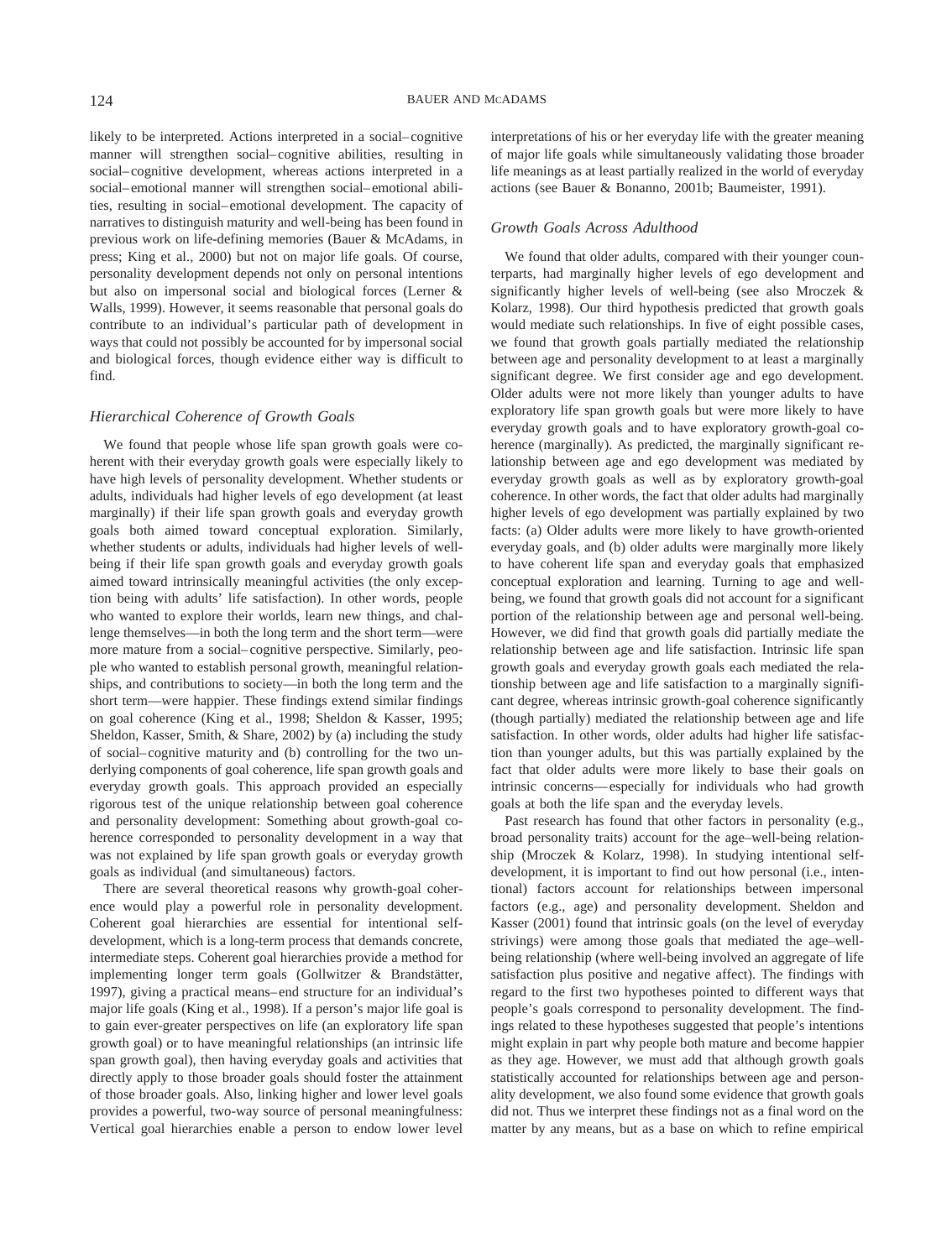likely to be interpreted. Actions interpreted in a social–cognitive manner will strengthen social–cognitive abilities, resulting in social–cognitive development, whereas actions interpreted in a social–emotional manner will strengthen social–emotional abilities, resulting in social–emotional development. The capacity of narratives to distinguish maturity and well-being has been found in previous work on life-defining memories (Bauer & McAdams, in press; King et al., 2000) but not on major life goals. Of course, personality development depends not only on personal intentions but also on impersonal social and biological forces (Lerner & Walls, 1999). However, it seems reasonable that personal goals do contribute to an individual's particular path of development in ways that could not possibly be accounted for by impersonal social and biological forces, though evidence either way is difficult to find.

# *Hierarchical Coherence of Growth Goals*

We found that people whose life span growth goals were coherent with their everyday growth goals were especially likely to have high levels of personality development. Whether students or adults, individuals had higher levels of ego development (at least marginally) if their life span growth goals and everyday growth goals both aimed toward conceptual exploration. Similarly, whether students or adults, individuals had higher levels of wellbeing if their life span growth goals and everyday growth goals aimed toward intrinsically meaningful activities (the only exception being with adults' life satisfaction). In other words, people who wanted to explore their worlds, learn new things, and challenge themselves—in both the long term and the short term—were more mature from a social–cognitive perspective. Similarly, people who wanted to establish personal growth, meaningful relationships, and contributions to society—in both the long term and the short term—were happier. These findings extend similar findings on goal coherence (King et al., 1998; Sheldon & Kasser, 1995; Sheldon, Kasser, Smith, & Share, 2002) by (a) including the study of social–cognitive maturity and (b) controlling for the two underlying components of goal coherence, life span growth goals and everyday growth goals. This approach provided an especially rigorous test of the unique relationship between goal coherence and personality development: Something about growth-goal coherence corresponded to personality development in a way that was not explained by life span growth goals or everyday growth goals as individual (and simultaneous) factors.

There are several theoretical reasons why growth-goal coherence would play a powerful role in personality development. Coherent goal hierarchies are essential for intentional selfdevelopment, which is a long-term process that demands concrete, intermediate steps. Coherent goal hierarchies provide a method for implementing longer term goals (Gollwitzer  $\&$  Brandstätter, 1997), giving a practical means–end structure for an individual's major life goals (King et al., 1998). If a person's major life goal is to gain ever-greater perspectives on life (an exploratory life span growth goal) or to have meaningful relationships (an intrinsic life span growth goal), then having everyday goals and activities that directly apply to those broader goals should foster the attainment of those broader goals. Also, linking higher and lower level goals provides a powerful, two-way source of personal meaningfulness: Vertical goal hierarchies enable a person to endow lower level interpretations of his or her everyday life with the greater meaning of major life goals while simultaneously validating those broader life meanings as at least partially realized in the world of everyday actions (see Bauer & Bonanno, 2001b; Baumeister, 1991).

# *Growth Goals Across Adulthood*

We found that older adults, compared with their younger counterparts, had marginally higher levels of ego development and significantly higher levels of well-being (see also Mroczek & Kolarz, 1998). Our third hypothesis predicted that growth goals would mediate such relationships. In five of eight possible cases, we found that growth goals partially mediated the relationship between age and personality development to at least a marginally significant degree. We first consider age and ego development. Older adults were not more likely than younger adults to have exploratory life span growth goals but were more likely to have everyday growth goals and to have exploratory growth-goal coherence (marginally). As predicted, the marginally significant relationship between age and ego development was mediated by everyday growth goals as well as by exploratory growth-goal coherence. In other words, the fact that older adults had marginally higher levels of ego development was partially explained by two facts: (a) Older adults were more likely to have growth-oriented everyday goals, and (b) older adults were marginally more likely to have coherent life span and everyday goals that emphasized conceptual exploration and learning. Turning to age and wellbeing, we found that growth goals did not account for a significant portion of the relationship between age and personal well-being. However, we did find that growth goals did partially mediate the relationship between age and life satisfaction. Intrinsic life span growth goals and everyday growth goals each mediated the relationship between age and life satisfaction to a marginally significant degree, whereas intrinsic growth-goal coherence significantly (though partially) mediated the relationship between age and life satisfaction. In other words, older adults had higher life satisfaction than younger adults, but this was partially explained by the fact that older adults were more likely to base their goals on intrinsic concerns—especially for individuals who had growth goals at both the life span and the everyday levels.

Past research has found that other factors in personality (e.g., broad personality traits) account for the age–well-being relationship (Mroczek & Kolarz, 1998). In studying intentional selfdevelopment, it is important to find out how personal (i.e., intentional) factors account for relationships between impersonal factors (e.g., age) and personality development. Sheldon and Kasser (2001) found that intrinsic goals (on the level of everyday strivings) were among those goals that mediated the age–wellbeing relationship (where well-being involved an aggregate of life satisfaction plus positive and negative affect). The findings with regard to the first two hypotheses pointed to different ways that people's goals correspond to personality development. The findings related to these hypotheses suggested that people's intentions might explain in part why people both mature and become happier as they age. However, we must add that although growth goals statistically accounted for relationships between age and personality development, we also found some evidence that growth goals did not. Thus we interpret these findings not as a final word on the matter by any means, but as a base on which to refine empirical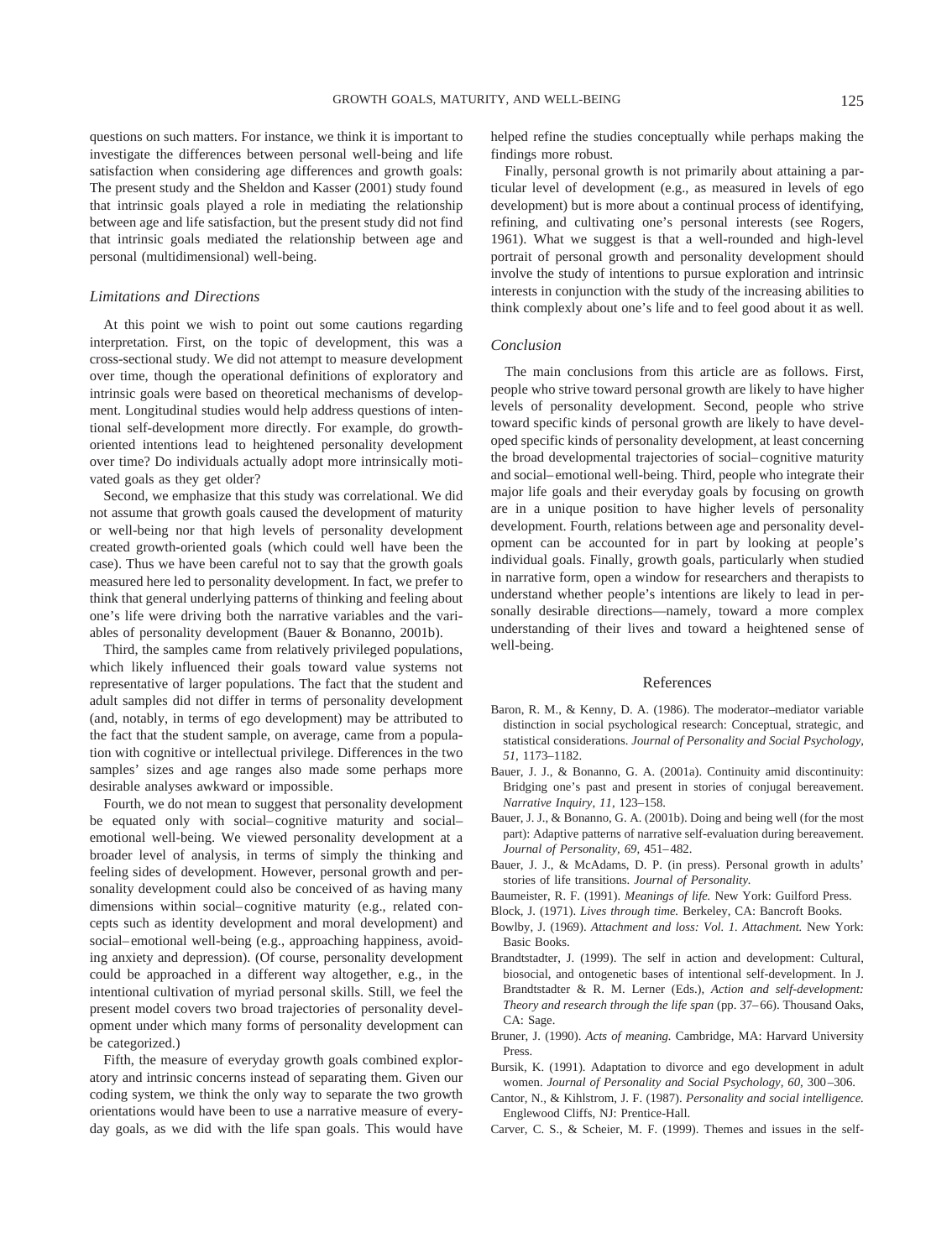questions on such matters. For instance, we think it is important to investigate the differences between personal well-being and life satisfaction when considering age differences and growth goals: The present study and the Sheldon and Kasser (2001) study found that intrinsic goals played a role in mediating the relationship between age and life satisfaction, but the present study did not find that intrinsic goals mediated the relationship between age and personal (multidimensional) well-being.

## *Limitations and Directions*

At this point we wish to point out some cautions regarding interpretation. First, on the topic of development, this was a cross-sectional study. We did not attempt to measure development over time, though the operational definitions of exploratory and intrinsic goals were based on theoretical mechanisms of development. Longitudinal studies would help address questions of intentional self-development more directly. For example, do growthoriented intentions lead to heightened personality development over time? Do individuals actually adopt more intrinsically motivated goals as they get older?

Second, we emphasize that this study was correlational. We did not assume that growth goals caused the development of maturity or well-being nor that high levels of personality development created growth-oriented goals (which could well have been the case). Thus we have been careful not to say that the growth goals measured here led to personality development. In fact, we prefer to think that general underlying patterns of thinking and feeling about one's life were driving both the narrative variables and the variables of personality development (Bauer & Bonanno, 2001b).

Third, the samples came from relatively privileged populations, which likely influenced their goals toward value systems not representative of larger populations. The fact that the student and adult samples did not differ in terms of personality development (and, notably, in terms of ego development) may be attributed to the fact that the student sample, on average, came from a population with cognitive or intellectual privilege. Differences in the two samples' sizes and age ranges also made some perhaps more desirable analyses awkward or impossible.

Fourth, we do not mean to suggest that personality development be equated only with social–cognitive maturity and social– emotional well-being. We viewed personality development at a broader level of analysis, in terms of simply the thinking and feeling sides of development. However, personal growth and personality development could also be conceived of as having many dimensions within social–cognitive maturity (e.g., related concepts such as identity development and moral development) and social–emotional well-being (e.g., approaching happiness, avoiding anxiety and depression). (Of course, personality development could be approached in a different way altogether, e.g., in the intentional cultivation of myriad personal skills. Still, we feel the present model covers two broad trajectories of personality development under which many forms of personality development can be categorized.)

Fifth, the measure of everyday growth goals combined exploratory and intrinsic concerns instead of separating them. Given our coding system, we think the only way to separate the two growth orientations would have been to use a narrative measure of everyday goals, as we did with the life span goals. This would have helped refine the studies conceptually while perhaps making the findings more robust.

Finally, personal growth is not primarily about attaining a particular level of development (e.g., as measured in levels of ego development) but is more about a continual process of identifying, refining, and cultivating one's personal interests (see Rogers, 1961). What we suggest is that a well-rounded and high-level portrait of personal growth and personality development should involve the study of intentions to pursue exploration and intrinsic interests in conjunction with the study of the increasing abilities to think complexly about one's life and to feel good about it as well.

# *Conclusion*

The main conclusions from this article are as follows. First, people who strive toward personal growth are likely to have higher levels of personality development. Second, people who strive toward specific kinds of personal growth are likely to have developed specific kinds of personality development, at least concerning the broad developmental trajectories of social–cognitive maturity and social–emotional well-being. Third, people who integrate their major life goals and their everyday goals by focusing on growth are in a unique position to have higher levels of personality development. Fourth, relations between age and personality development can be accounted for in part by looking at people's individual goals. Finally, growth goals, particularly when studied in narrative form, open a window for researchers and therapists to understand whether people's intentions are likely to lead in personally desirable directions—namely, toward a more complex understanding of their lives and toward a heightened sense of well-being.

# References

- Baron, R. M., & Kenny, D. A. (1986). The moderator–mediator variable distinction in social psychological research: Conceptual, strategic, and statistical considerations. *Journal of Personality and Social Psychology, 51,* 1173–1182.
- Bauer, J. J., & Bonanno, G. A. (2001a). Continuity amid discontinuity: Bridging one's past and present in stories of conjugal bereavement. *Narrative Inquiry, 11,* 123–158.
- Bauer, J. J., & Bonanno, G. A. (2001b). Doing and being well (for the most part): Adaptive patterns of narrative self-evaluation during bereavement. *Journal of Personality, 69,* 451–482.
- Bauer, J. J., & McAdams, D. P. (in press). Personal growth in adults' stories of life transitions. *Journal of Personality.*
- Baumeister, R. F. (1991). *Meanings of life.* New York: Guilford Press.
- Block, J. (1971). *Lives through time.* Berkeley, CA: Bancroft Books.
- Bowlby, J. (1969). *Attachment and loss: Vol. 1. Attachment.* New York: Basic Books.
- Brandtstadter, J. (1999). The self in action and development: Cultural, biosocial, and ontogenetic bases of intentional self-development. In J. Brandtstadter & R. M. Lerner (Eds.), *Action and self-development: Theory and research through the life span* (pp. 37–66). Thousand Oaks, CA: Sage.
- Bruner, J. (1990). *Acts of meaning.* Cambridge, MA: Harvard University Press.
- Bursik, K. (1991). Adaptation to divorce and ego development in adult women. *Journal of Personality and Social Psychology, 60,* 300–306.
- Cantor, N., & Kihlstrom, J. F. (1987). *Personality and social intelligence.* Englewood Cliffs, NJ: Prentice-Hall.
- Carver, C. S., & Scheier, M. F. (1999). Themes and issues in the self-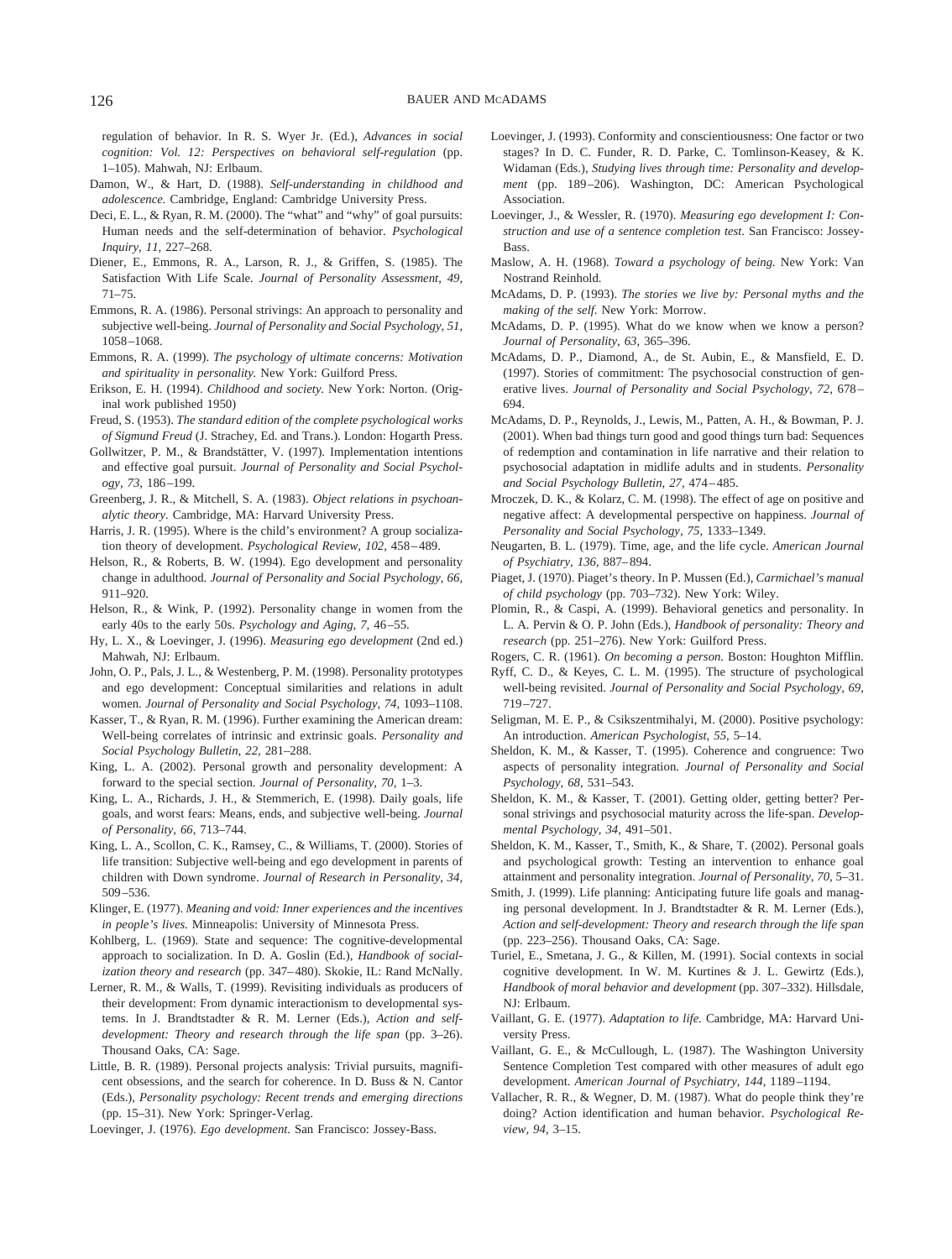regulation of behavior. In R. S. Wyer Jr. (Ed.), *Advances in social cognition: Vol. 12: Perspectives on behavioral self-regulation* (pp. 1–105). Mahwah, NJ: Erlbaum.

- Damon, W., & Hart, D. (1988). *Self-understanding in childhood and adolescence.* Cambridge, England: Cambridge University Press.
- Deci, E. L., & Ryan, R. M. (2000). The "what" and "why" of goal pursuits: Human needs and the self-determination of behavior. *Psychological Inquiry, 11,* 227–268.
- Diener, E., Emmons, R. A., Larson, R. J., & Griffen, S. (1985). The Satisfaction With Life Scale. *Journal of Personality Assessment, 49,* 71–75.
- Emmons, R. A. (1986). Personal strivings: An approach to personality and subjective well-being. *Journal of Personality and Social Psychology, 51,* 1058–1068.
- Emmons, R. A. (1999). *The psychology of ultimate concerns: Motivation and spirituality in personality.* New York: Guilford Press.
- Erikson, E. H. (1994). *Childhood and society.* New York: Norton. (Original work published 1950)
- Freud, S. (1953). *The standard edition of the complete psychological works of Sigmund Freud* (J. Strachey, Ed. and Trans.). London: Hogarth Press.
- Gollwitzer, P. M., & Brandstätter, V. (1997). Implementation intentions and effective goal pursuit. *Journal of Personality and Social Psychology, 73,* 186–199.
- Greenberg, J. R., & Mitchell, S. A. (1983). *Object relations in psychoanalytic theory.* Cambridge, MA: Harvard University Press.
- Harris, J. R. (1995). Where is the child's environment? A group socialization theory of development. *Psychological Review, 102,* 458–489.
- Helson, R., & Roberts, B. W. (1994). Ego development and personality change in adulthood. *Journal of Personality and Social Psychology, 66,* 911–920.
- Helson, R., & Wink, P. (1992). Personality change in women from the early 40s to the early 50s. *Psychology and Aging, 7,* 46–55.
- Hy, L. X., & Loevinger, J. (1996). *Measuring ego development* (2nd ed.) Mahwah, NJ: Erlbaum.
- John, O. P., Pals, J. L., & Westenberg, P. M. (1998). Personality prototypes and ego development: Conceptual similarities and relations in adult women. *Journal of Personality and Social Psychology, 74,* 1093–1108.
- Kasser, T., & Ryan, R. M. (1996). Further examining the American dream: Well-being correlates of intrinsic and extrinsic goals. *Personality and Social Psychology Bulletin, 22,* 281–288.
- King, L. A. (2002). Personal growth and personality development: A forward to the special section. *Journal of Personality, 70,* 1–3.
- King, L. A., Richards, J. H., & Stemmerich, E. (1998). Daily goals, life goals, and worst fears: Means, ends, and subjective well-being. *Journal of Personality, 66,* 713–744.
- King, L. A., Scollon, C. K., Ramsey, C., & Williams, T. (2000). Stories of life transition: Subjective well-being and ego development in parents of children with Down syndrome. *Journal of Research in Personality, 34,* 509–536.
- Klinger, E. (1977). *Meaning and void: Inner experiences and the incentives in people's lives.* Minneapolis: University of Minnesota Press.
- Kohlberg, L. (1969). State and sequence: The cognitive-developmental approach to socialization. In D. A. Goslin (Ed.), *Handbook of socialization theory and research* (pp. 347–480). Skokie, IL: Rand McNally.
- Lerner, R. M., & Walls, T. (1999). Revisiting individuals as producers of their development: From dynamic interactionism to developmental systems. In J. Brandtstadter & R. M. Lerner (Eds.), *Action and selfdevelopment: Theory and research through the life span* (pp. 3–26). Thousand Oaks, CA: Sage.
- Little, B. R. (1989). Personal projects analysis: Trivial pursuits, magnificent obsessions, and the search for coherence. In D. Buss & N. Cantor (Eds.), *Personality psychology: Recent trends and emerging directions* (pp. 15–31). New York: Springer-Verlag.

Loevinger, J. (1976). *Ego development.* San Francisco: Jossey-Bass.

- Loevinger, J. (1993). Conformity and conscientiousness: One factor or two stages? In D. C. Funder, R. D. Parke, C. Tomlinson-Keasey, & K. Widaman (Eds.), *Studying lives through time: Personality and development* (pp. 189–206). Washington, DC: American Psychological Association.
- Loevinger, J., & Wessler, R. (1970). *Measuring ego development I: Construction and use of a sentence completion test.* San Francisco: Jossey-Bass.
- Maslow, A. H. (1968). *Toward a psychology of being.* New York: Van Nostrand Reinhold.
- McAdams, D. P. (1993). *The stories we live by: Personal myths and the making of the self.* New York: Morrow.
- McAdams, D. P. (1995). What do we know when we know a person? *Journal of Personality, 63,* 365–396.
- McAdams, D. P., Diamond, A., de St. Aubin, E., & Mansfield, E. D. (1997). Stories of commitment: The psychosocial construction of generative lives. *Journal of Personality and Social Psychology, 72,* 678– 694.
- McAdams, D. P., Reynolds, J., Lewis, M., Patten, A. H., & Bowman, P. J. (2001). When bad things turn good and good things turn bad: Sequences of redemption and contamination in life narrative and their relation to psychosocial adaptation in midlife adults and in students. *Personality and Social Psychology Bulletin, 27,* 474–485.
- Mroczek, D. K., & Kolarz, C. M. (1998). The effect of age on positive and negative affect: A developmental perspective on happiness. *Journal of Personality and Social Psychology, 75,* 1333–1349.
- Neugarten, B. L. (1979). Time, age, and the life cycle. *American Journal of Psychiatry, 136,* 887–894.
- Piaget, J. (1970). Piaget's theory. In P. Mussen (Ed.), *Carmichael's manual of child psychology* (pp. 703–732). New York: Wiley.
- Plomin, R., & Caspi, A. (1999). Behavioral genetics and personality. In L. A. Pervin & O. P. John (Eds.), *Handbook of personality: Theory and research* (pp. 251–276). New York: Guilford Press.
- Rogers, C. R. (1961). *On becoming a person.* Boston: Houghton Mifflin.
- Ryff, C. D., & Keyes, C. L. M. (1995). The structure of psychological well-being revisited. *Journal of Personality and Social Psychology, 69,* 719–727.
- Seligman, M. E. P., & Csikszentmihalyi, M. (2000). Positive psychology: An introduction. *American Psychologist, 55,* 5–14.
- Sheldon, K. M., & Kasser, T. (1995). Coherence and congruence: Two aspects of personality integration. *Journal of Personality and Social Psychology, 68,* 531–543.
- Sheldon, K. M., & Kasser, T. (2001). Getting older, getting better? Personal strivings and psychosocial maturity across the life-span. *Developmental Psychology, 34,* 491–501.
- Sheldon, K. M., Kasser, T., Smith, K., & Share, T. (2002). Personal goals and psychological growth: Testing an intervention to enhance goal attainment and personality integration. *Journal of Personality, 70,* 5–31.
- Smith, J. (1999). Life planning: Anticipating future life goals and managing personal development. In J. Brandtstadter & R. M. Lerner (Eds.), *Action and self-development: Theory and research through the life span* (pp. 223–256). Thousand Oaks, CA: Sage.
- Turiel, E., Smetana, J. G., & Killen, M. (1991). Social contexts in social cognitive development. In W. M. Kurtines & J. L. Gewirtz (Eds.), *Handbook of moral behavior and development* (pp. 307–332). Hillsdale, NJ: Erlbaum.
- Vaillant, G. E. (1977). *Adaptation to life.* Cambridge, MA: Harvard University Press.
- Vaillant, G. E., & McCullough, L. (1987). The Washington University Sentence Completion Test compared with other measures of adult ego development. *American Journal of Psychiatry, 144,* 1189–1194.
- Vallacher, R. R., & Wegner, D. M. (1987). What do people think they're doing? Action identification and human behavior. *Psychological Review, 94,* 3–15.